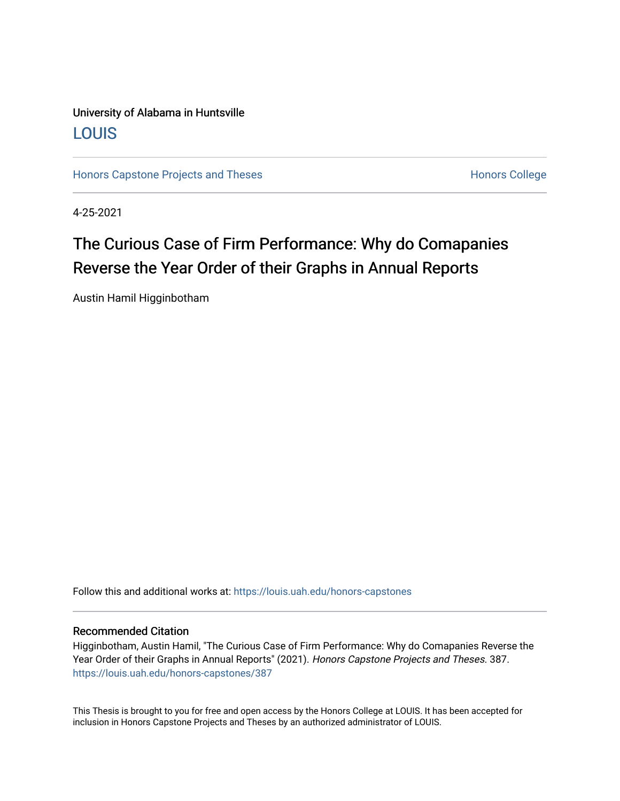## University of Alabama in Huntsville [LOUIS](https://louis.uah.edu/)

[Honors Capstone Projects and Theses](https://louis.uah.edu/honors-capstones) **Honors College** Honors College

4-25-2021

## The Curious Case of Firm Performance: Why do Comapanies Reverse the Year Order of their Graphs in Annual Reports

Austin Hamil Higginbotham

Follow this and additional works at: [https://louis.uah.edu/honors-capstones](https://louis.uah.edu/honors-capstones?utm_source=louis.uah.edu%2Fhonors-capstones%2F387&utm_medium=PDF&utm_campaign=PDFCoverPages) 

#### Recommended Citation

Higginbotham, Austin Hamil, "The Curious Case of Firm Performance: Why do Comapanies Reverse the Year Order of their Graphs in Annual Reports" (2021). Honors Capstone Projects and Theses. 387. [https://louis.uah.edu/honors-capstones/387](https://louis.uah.edu/honors-capstones/387?utm_source=louis.uah.edu%2Fhonors-capstones%2F387&utm_medium=PDF&utm_campaign=PDFCoverPages) 

This Thesis is brought to you for free and open access by the Honors College at LOUIS. It has been accepted for inclusion in Honors Capstone Projects and Theses by an authorized administrator of LOUIS.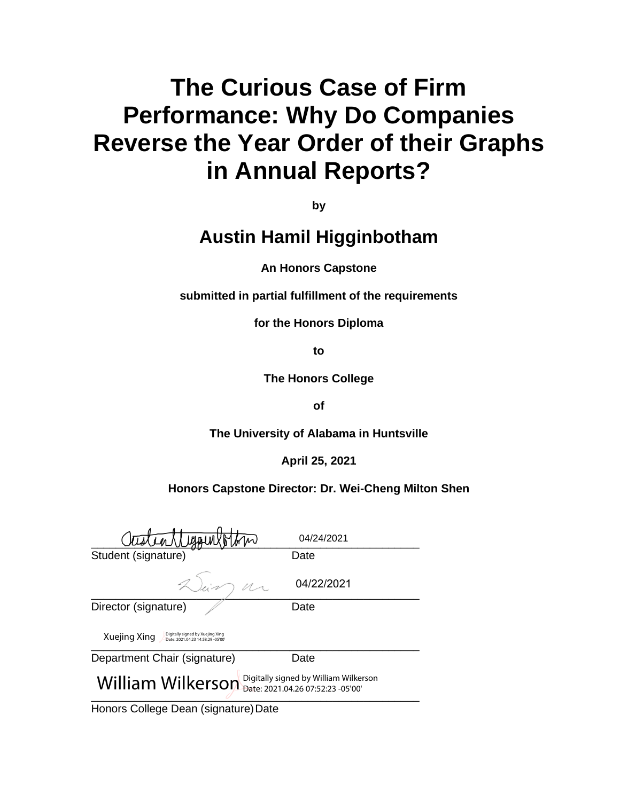# **The Curious Case of Firm Performance: Why Do Companies Reverse the Year Order of their Graphs in Annual Reports?**

**by**

## **Austin Hamil Higginbotham**

**An Honors Capstone**

**submitted in partial fulfillment of the requirements** 

**for the Honors Diploma**

**to** 

**The Honors College** 

**of** 

**The University of Alabama in Huntsville**

**April 25, 2021**

### **Honors Capstone Director: Dr. Wei-Cheng Milton Shen**

|                                                                                       | 04/24/2021                                                                 |
|---------------------------------------------------------------------------------------|----------------------------------------------------------------------------|
| Student (signature)                                                                   | Date                                                                       |
|                                                                                       | 04/22/2021                                                                 |
| Director (signature)                                                                  | Date                                                                       |
| Digitally signed by Xuejing Xing<br>Xuejing Xing<br>Date: 2021.04.23 14:58:29 -05'00' |                                                                            |
| Department Chair (signature)                                                          | Date                                                                       |
| <b>William Wilkerson</b>                                                              | Digitally signed by William Wilkerson<br>Date: 2021.04.26 07:52:23 -05'00' |

Honors College Dean (signature) Date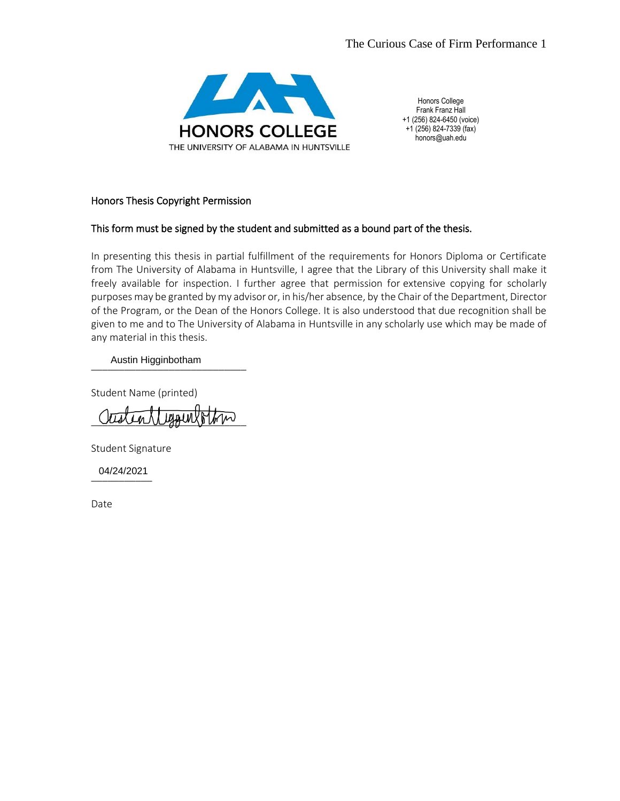### The Curious Case of Firm Performance 1



Honors College Frank Franz Hall +1 (256) 824-6450 (voice) +1 (256) 824-7339 (fax) honors@uah.edu

#### Honors Thesis Copyright Permission

### This form must be signed by the student and submitted as a bound part of the thesis.

In presenting this thesis in partial fulfillment of the requirements for Honors Diploma or Certificate from The University of Alabama in Huntsville, I agree that the Library of this University shall make it freely available for inspection. I further agree that permission for extensive copying for scholarly purposes may be granted by my advisor or, in his/her absence, by the Chair of the Department, Director of the Program, or the Dean of the Honors College. It is also understood that due recognition shall be given to me and to The University of Alabama in Huntsville in any scholarly use which may be made of any material in this thesis.

## \_\_\_\_\_\_\_\_\_\_\_\_\_\_\_\_\_\_\_\_\_\_\_\_\_\_\_\_ Austin Higginbotham

Student Name (printed)

 $CHutun\land Luh$ 

Student Signature

\_\_\_\_\_\_\_\_\_\_\_ 04/24/2021

Date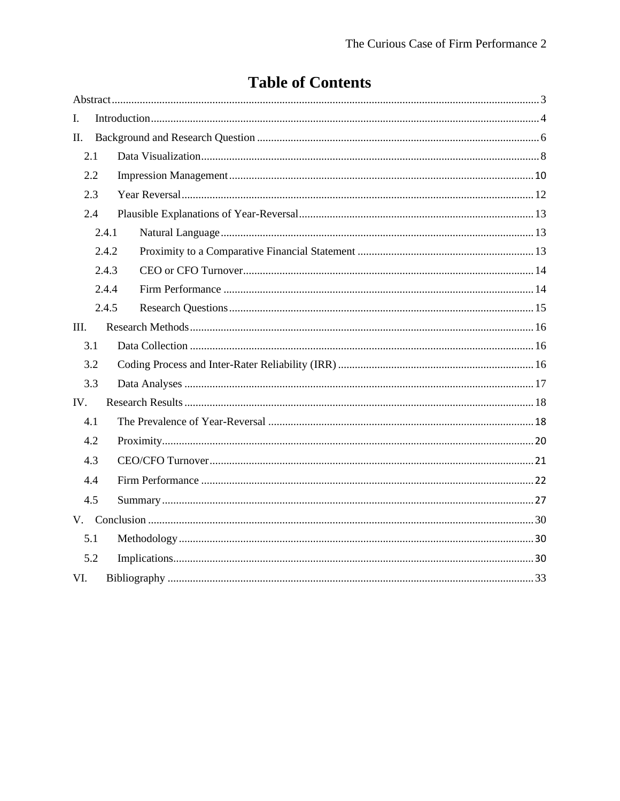## **Table of Contents**

| I.   |       |  |  |  |  |  |  |  |  |  |
|------|-------|--|--|--|--|--|--|--|--|--|
| II.  |       |  |  |  |  |  |  |  |  |  |
| 2.1  |       |  |  |  |  |  |  |  |  |  |
| 2.2  |       |  |  |  |  |  |  |  |  |  |
| 2.3  |       |  |  |  |  |  |  |  |  |  |
| 2.4  |       |  |  |  |  |  |  |  |  |  |
|      | 2.4.1 |  |  |  |  |  |  |  |  |  |
|      | 2.4.2 |  |  |  |  |  |  |  |  |  |
|      | 2.4.3 |  |  |  |  |  |  |  |  |  |
|      | 2.4.4 |  |  |  |  |  |  |  |  |  |
|      | 2.4.5 |  |  |  |  |  |  |  |  |  |
| III. |       |  |  |  |  |  |  |  |  |  |
| 3.1  |       |  |  |  |  |  |  |  |  |  |
| 3.2  |       |  |  |  |  |  |  |  |  |  |
| 3.3  |       |  |  |  |  |  |  |  |  |  |
| IV.  |       |  |  |  |  |  |  |  |  |  |
| 4.1  |       |  |  |  |  |  |  |  |  |  |
| 4.2  |       |  |  |  |  |  |  |  |  |  |
| 4.3  |       |  |  |  |  |  |  |  |  |  |
| 4.4  |       |  |  |  |  |  |  |  |  |  |
| 4.5  |       |  |  |  |  |  |  |  |  |  |
|      |       |  |  |  |  |  |  |  |  |  |
| 5.1  |       |  |  |  |  |  |  |  |  |  |
| 5.2  |       |  |  |  |  |  |  |  |  |  |
| VI.  |       |  |  |  |  |  |  |  |  |  |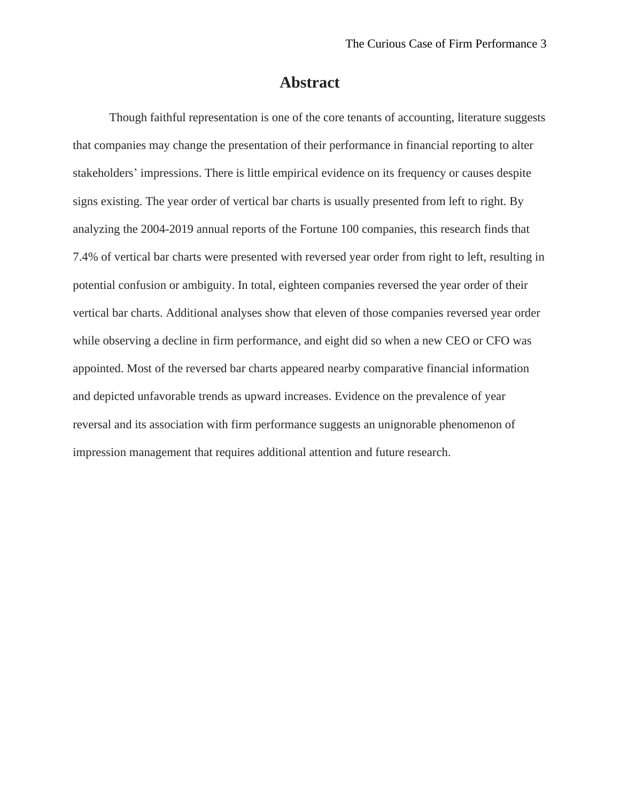## **Abstract**

<span id="page-4-0"></span>Though faithful representation is one of the core tenants of accounting, literature suggests that companies may change the presentation of their performance in financial reporting to alter stakeholders' impressions. There is little empirical evidence on its frequency or causes despite signs existing. The year order of vertical bar charts is usually presented from left to right. By analyzing the 2004-2019 annual reports of the Fortune 100 companies, this research finds that 7.4% of vertical bar charts were presented with reversed year order from right to left, resulting in potential confusion or ambiguity. In total, eighteen companies reversed the year order of their vertical bar charts. Additional analyses show that eleven of those companies reversed year order while observing a decline in firm performance, and eight did so when a new CEO or CFO was appointed. Most of the reversed bar charts appeared nearby comparative financial information and depicted unfavorable trends as upward increases. Evidence on the prevalence of year reversal and its association with firm performance suggests an unignorable phenomenon of impression management that requires additional attention and future research.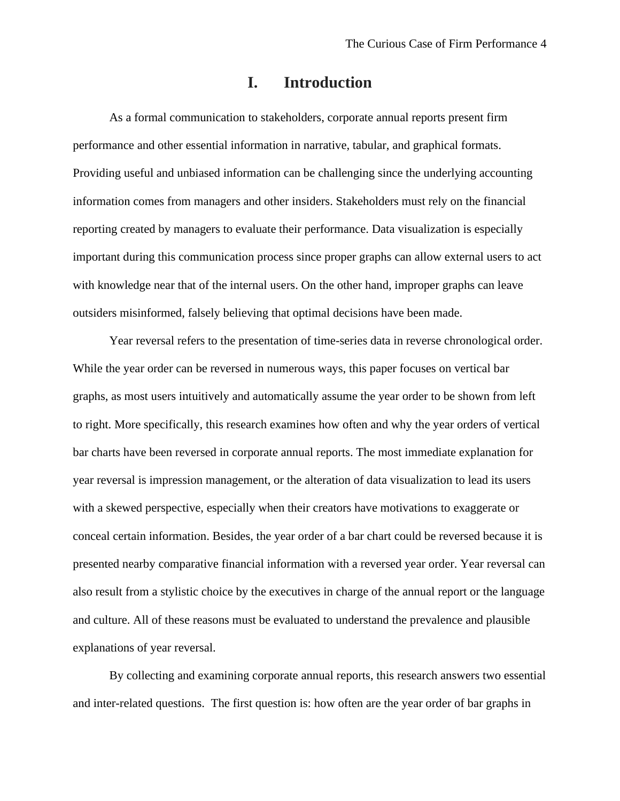## **I. Introduction**

<span id="page-5-0"></span>As a formal communication to stakeholders, corporate annual reports present firm performance and other essential information in narrative, tabular, and graphical formats. Providing useful and unbiased information can be challenging since the underlying accounting information comes from managers and other insiders. Stakeholders must rely on the financial reporting created by managers to evaluate their performance. Data visualization is especially important during this communication process since proper graphs can allow external users to act with knowledge near that of the internal users. On the other hand, improper graphs can leave outsiders misinformed, falsely believing that optimal decisions have been made.

Year reversal refers to the presentation of time-series data in reverse chronological order. While the year order can be reversed in numerous ways, this paper focuses on vertical bar graphs, as most users intuitively and automatically assume the year order to be shown from left to right. More specifically, this research examines how often and why the year orders of vertical bar charts have been reversed in corporate annual reports. The most immediate explanation for year reversal is impression management, or the alteration of data visualization to lead its users with a skewed perspective, especially when their creators have motivations to exaggerate or conceal certain information. Besides, the year order of a bar chart could be reversed because it is presented nearby comparative financial information with a reversed year order. Year reversal can also result from a stylistic choice by the executives in charge of the annual report or the language and culture. All of these reasons must be evaluated to understand the prevalence and plausible explanations of year reversal.

By collecting and examining corporate annual reports, this research answers two essential and inter-related questions. The first question is: how often are the year order of bar graphs in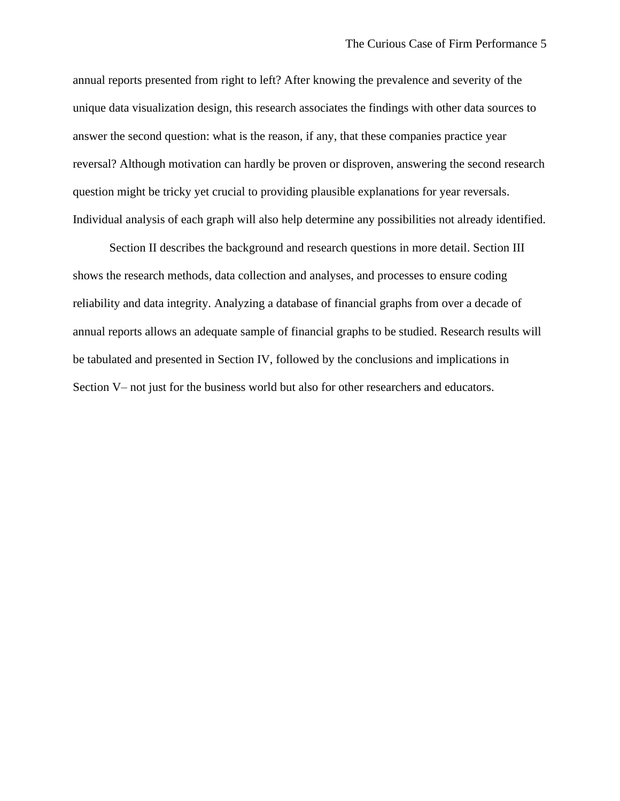annual reports presented from right to left? After knowing the prevalence and severity of the unique data visualization design, this research associates the findings with other data sources to answer the second question: what is the reason, if any, that these companies practice year reversal? Although motivation can hardly be proven or disproven, answering the second research question might be tricky yet crucial to providing plausible explanations for year reversals. Individual analysis of each graph will also help determine any possibilities not already identified.

Section II describes the background and research questions in more detail. Section III shows the research methods, data collection and analyses, and processes to ensure coding reliability and data integrity. Analyzing a database of financial graphs from over a decade of annual reports allows an adequate sample of financial graphs to be studied. Research results will be tabulated and presented in Section IV, followed by the conclusions and implications in Section V– not just for the business world but also for other researchers and educators.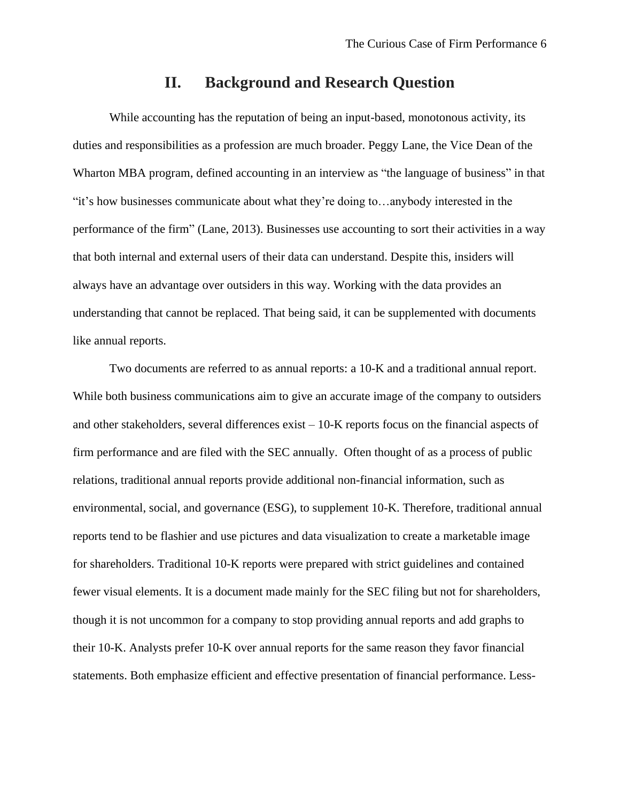## <span id="page-7-0"></span>**II. Background and Research Question**

While accounting has the reputation of being an input-based, monotonous activity, its duties and responsibilities as a profession are much broader. Peggy Lane, the Vice Dean of the Wharton MBA program, defined accounting in an interview as "the language of business" in that "it's how businesses communicate about what they're doing to…anybody interested in the performance of the firm" (Lane, 2013). Businesses use accounting to sort their activities in a way that both internal and external users of their data can understand. Despite this, insiders will always have an advantage over outsiders in this way. Working with the data provides an understanding that cannot be replaced. That being said, it can be supplemented with documents like annual reports.

Two documents are referred to as annual reports: a 10-K and a traditional annual report. While both business communications aim to give an accurate image of the company to outsiders and other stakeholders, several differences exist – 10-K reports focus on the financial aspects of firm performance and are filed with the SEC annually. Often thought of as a process of public relations, traditional annual reports provide additional non-financial information, such as environmental, social, and governance (ESG), to supplement 10-K. Therefore, traditional annual reports tend to be flashier and use pictures and data visualization to create a marketable image for shareholders. Traditional 10-K reports were prepared with strict guidelines and contained fewer visual elements. It is a document made mainly for the SEC filing but not for shareholders, though it is not uncommon for a company to stop providing annual reports and add graphs to their 10-K. Analysts prefer 10-K over annual reports for the same reason they favor financial statements. Both emphasize efficient and effective presentation of financial performance. Less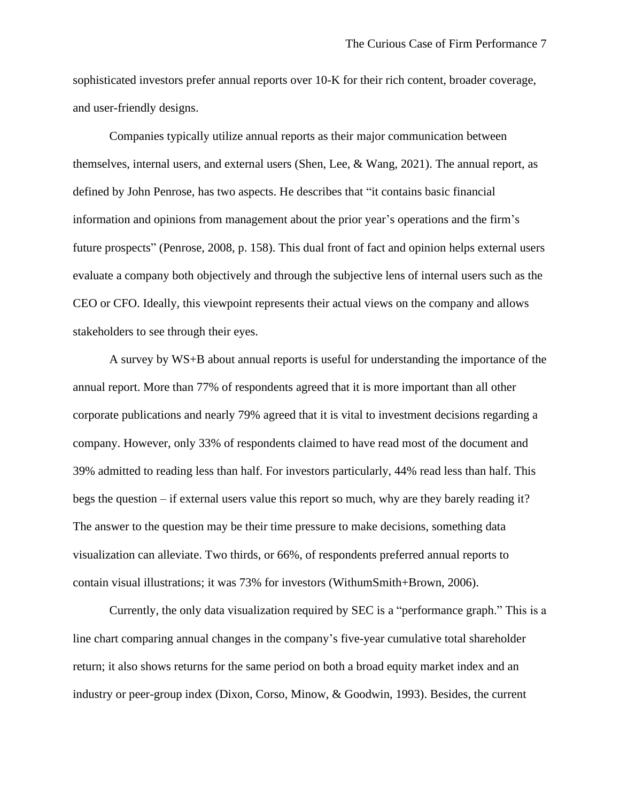sophisticated investors prefer annual reports over 10-K for their rich content, broader coverage, and user-friendly designs.

Companies typically utilize annual reports as their major communication between themselves, internal users, and external users (Shen, Lee, & Wang, 2021). The annual report, as defined by John Penrose, has two aspects. He describes that "it contains basic financial information and opinions from management about the prior year's operations and the firm's future prospects" (Penrose, 2008, p. 158). This dual front of fact and opinion helps external users evaluate a company both objectively and through the subjective lens of internal users such as the CEO or CFO. Ideally, this viewpoint represents their actual views on the company and allows stakeholders to see through their eyes.

A survey by WS+B about annual reports is useful for understanding the importance of the annual report. More than 77% of respondents agreed that it is more important than all other corporate publications and nearly 79% agreed that it is vital to investment decisions regarding a company. However, only 33% of respondents claimed to have read most of the document and 39% admitted to reading less than half. For investors particularly, 44% read less than half. This begs the question – if external users value this report so much, why are they barely reading it? The answer to the question may be their time pressure to make decisions, something data visualization can alleviate. Two thirds, or 66%, of respondents preferred annual reports to contain visual illustrations; it was 73% for investors (WithumSmith+Brown, 2006).

Currently, the only data visualization required by SEC is a "performance graph." This is a line chart comparing annual changes in the company's five-year cumulative total shareholder return; it also shows returns for the same period on both a broad equity market index and an industry or peer-group index (Dixon, Corso, Minow, & Goodwin, 1993). Besides, the current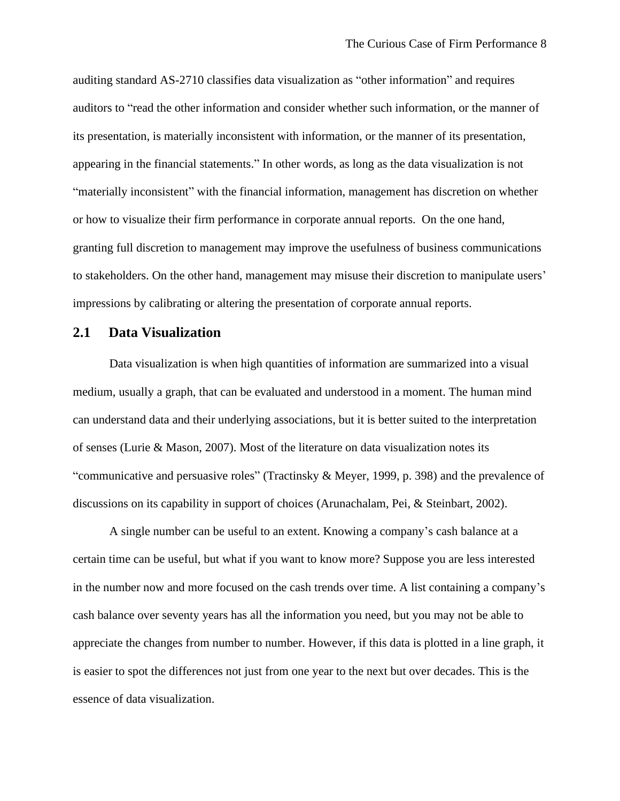auditing standard AS-2710 classifies data visualization as "other information" and requires auditors to "read the other information and consider whether such information, or the manner of its presentation, is materially inconsistent with information, or the manner of its presentation, appearing in the financial statements." In other words, as long as the data visualization is not "materially inconsistent" with the financial information, management has discretion on whether or how to visualize their firm performance in corporate annual reports. On the one hand, granting full discretion to management may improve the usefulness of business communications to stakeholders. On the other hand, management may misuse their discretion to manipulate users' impressions by calibrating or altering the presentation of corporate annual reports.

### <span id="page-9-0"></span>**2.1 Data Visualization**

Data visualization is when high quantities of information are summarized into a visual medium, usually a graph, that can be evaluated and understood in a moment. The human mind can understand data and their underlying associations, but it is better suited to the interpretation of senses (Lurie & Mason, 2007). Most of the literature on data visualization notes its "communicative and persuasive roles" (Tractinsky & Meyer, 1999, p. 398) and the prevalence of discussions on its capability in support of choices (Arunachalam, Pei, & Steinbart, 2002).

A single number can be useful to an extent. Knowing a company's cash balance at a certain time can be useful, but what if you want to know more? Suppose you are less interested in the number now and more focused on the cash trends over time. A list containing a company's cash balance over seventy years has all the information you need, but you may not be able to appreciate the changes from number to number. However, if this data is plotted in a line graph, it is easier to spot the differences not just from one year to the next but over decades. This is the essence of data visualization.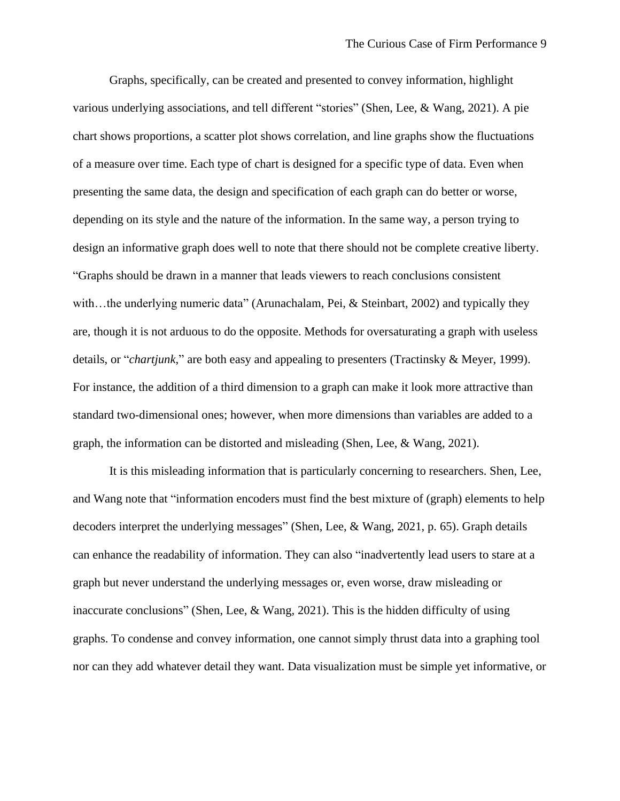Graphs, specifically, can be created and presented to convey information, highlight various underlying associations, and tell different "stories" (Shen, Lee, & Wang, 2021). A pie chart shows proportions, a scatter plot shows correlation, and line graphs show the fluctuations of a measure over time. Each type of chart is designed for a specific type of data. Even when presenting the same data, the design and specification of each graph can do better or worse, depending on its style and the nature of the information. In the same way, a person trying to design an informative graph does well to note that there should not be complete creative liberty. "Graphs should be drawn in a manner that leads viewers to reach conclusions consistent with...the underlying numeric data" (Arunachalam, Pei, & Steinbart, 2002) and typically they are, though it is not arduous to do the opposite. Methods for oversaturating a graph with useless details, or "*chartjunk*," are both easy and appealing to presenters (Tractinsky & Meyer, 1999). For instance, the addition of a third dimension to a graph can make it look more attractive than standard two-dimensional ones; however, when more dimensions than variables are added to a graph, the information can be distorted and misleading (Shen, Lee, & Wang, 2021).

It is this misleading information that is particularly concerning to researchers. Shen, Lee, and Wang note that "information encoders must find the best mixture of (graph) elements to help decoders interpret the underlying messages" (Shen, Lee, & Wang, 2021, p. 65). Graph details can enhance the readability of information. They can also "inadvertently lead users to stare at a graph but never understand the underlying messages or, even worse, draw misleading or inaccurate conclusions" (Shen, Lee, & Wang, 2021). This is the hidden difficulty of using graphs. To condense and convey information, one cannot simply thrust data into a graphing tool nor can they add whatever detail they want. Data visualization must be simple yet informative, or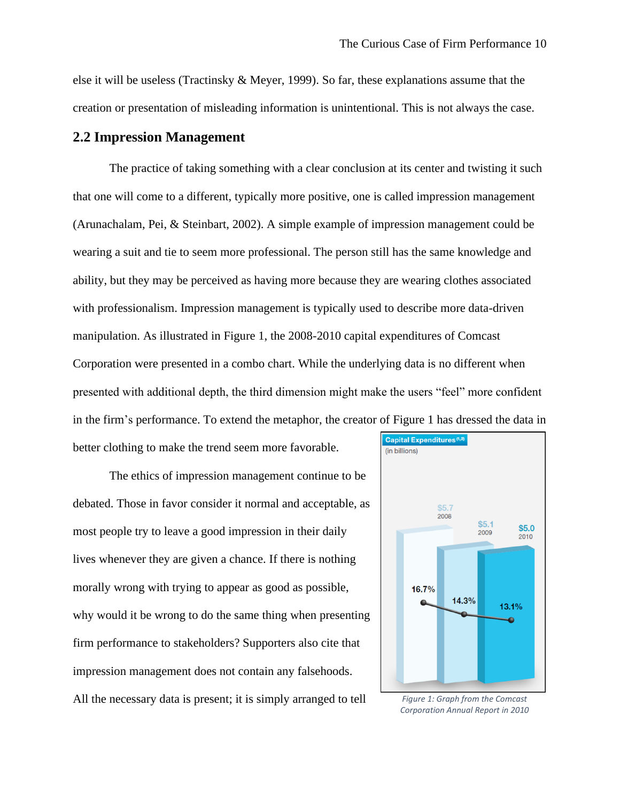else it will be useless (Tractinsky & Meyer, 1999). So far, these explanations assume that the creation or presentation of misleading information is unintentional. This is not always the case.

#### <span id="page-11-0"></span>**2.2 Impression Management**

The practice of taking something with a clear conclusion at its center and twisting it such that one will come to a different, typically more positive, one is called impression management (Arunachalam, Pei, & Steinbart, 2002). A simple example of impression management could be wearing a suit and tie to seem more professional. The person still has the same knowledge and ability, but they may be perceived as having more because they are wearing clothes associated with professionalism. Impression management is typically used to describe more data-driven manipulation. As illustrated in Figure 1, the 2008-2010 capital expenditures of Comcast Corporation were presented in a combo chart. While the underlying data is no different when presented with additional depth, the third dimension might make the users "feel" more confident in the firm's performance. To extend the metaphor, the creator of Figure 1 has dressed the data in

better clothing to make the trend seem more favorable.

The ethics of impression management continue to be debated. Those in favor consider it normal and acceptable, as most people try to leave a good impression in their daily lives whenever they are given a chance. If there is nothing morally wrong with trying to appear as good as possible, why would it be wrong to do the same thing when presenting firm performance to stakeholders? Supporters also cite that impression management does not contain any falsehoods. All the necessary data is present; it is simply arranged to tell *Figure 1: Graph from the Comcast* 



*Corporation Annual Report in 2010*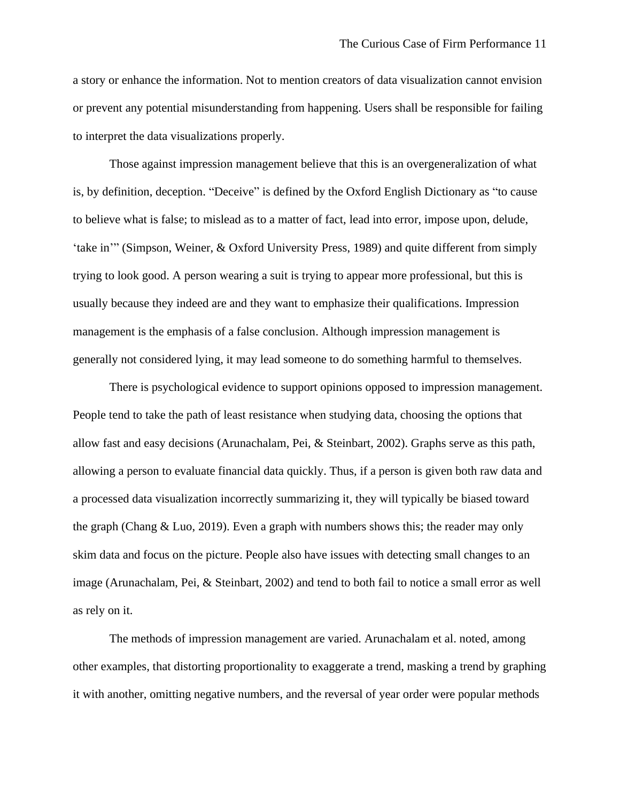a story or enhance the information. Not to mention creators of data visualization cannot envision or prevent any potential misunderstanding from happening. Users shall be responsible for failing to interpret the data visualizations properly.

Those against impression management believe that this is an overgeneralization of what is, by definition, deception. "Deceive" is defined by the Oxford English Dictionary as "to cause to believe what is false; to mislead as to a matter of fact, lead into error, impose upon, delude, 'take in'" (Simpson, Weiner, & Oxford University Press, 1989) and quite different from simply trying to look good. A person wearing a suit is trying to appear more professional, but this is usually because they indeed are and they want to emphasize their qualifications. Impression management is the emphasis of a false conclusion. Although impression management is generally not considered lying, it may lead someone to do something harmful to themselves.

There is psychological evidence to support opinions opposed to impression management. People tend to take the path of least resistance when studying data, choosing the options that allow fast and easy decisions (Arunachalam, Pei, & Steinbart, 2002). Graphs serve as this path, allowing a person to evaluate financial data quickly. Thus, if a person is given both raw data and a processed data visualization incorrectly summarizing it, they will typically be biased toward the graph (Chang & Luo, 2019). Even a graph with numbers shows this; the reader may only skim data and focus on the picture. People also have issues with detecting small changes to an image (Arunachalam, Pei, & Steinbart, 2002) and tend to both fail to notice a small error as well as rely on it.

The methods of impression management are varied. Arunachalam et al. noted, among other examples, that distorting proportionality to exaggerate a trend, masking a trend by graphing it with another, omitting negative numbers, and the reversal of year order were popular methods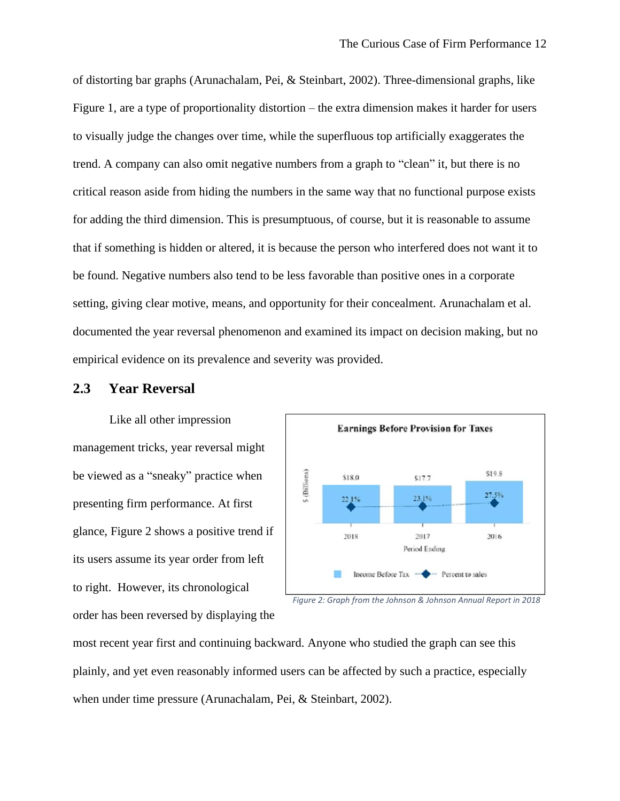of distorting bar graphs (Arunachalam, Pei, & Steinbart, 2002). Three-dimensional graphs, like Figure 1, are a type of proportionality distortion – the extra dimension makes it harder for users to visually judge the changes over time, while the superfluous top artificially exaggerates the trend. A company can also omit negative numbers from a graph to "clean" it, but there is no critical reason aside from hiding the numbers in the same way that no functional purpose exists for adding the third dimension. This is presumptuous, of course, but it is reasonable to assume that if something is hidden or altered, it is because the person who interfered does not want it to be found. Negative numbers also tend to be less favorable than positive ones in a corporate setting, giving clear motive, means, and opportunity for their concealment. Arunachalam et al. documented the year reversal phenomenon and examined its impact on decision making, but no empirical evidence on its prevalence and severity was provided.

#### <span id="page-13-0"></span>**2.3 Year Reversal**

Like all other impression management tricks, year reversal might be viewed as a "sneaky" practice when presenting firm performance. At first glance, Figure 2 shows a positive trend if its users assume its year order from left to right. However, its chronological order has been reversed by displaying the



*Figure 2: Graph from the Johnson & Johnson Annual Report in 2018*

most recent year first and continuing backward. Anyone who studied the graph can see this plainly, and yet even reasonably informed users can be affected by such a practice, especially when under time pressure (Arunachalam, Pei, & Steinbart, 2002).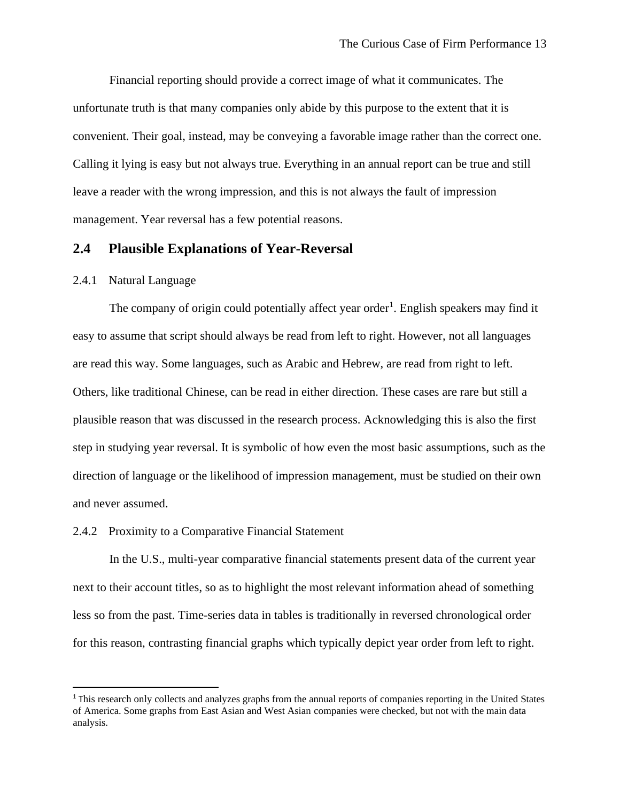Financial reporting should provide a correct image of what it communicates. The unfortunate truth is that many companies only abide by this purpose to the extent that it is convenient. Their goal, instead, may be conveying a favorable image rather than the correct one. Calling it lying is easy but not always true. Everything in an annual report can be true and still leave a reader with the wrong impression, and this is not always the fault of impression management. Year reversal has a few potential reasons.

#### <span id="page-14-0"></span>**2.4 Plausible Explanations of Year-Reversal**

#### <span id="page-14-1"></span>2.4.1 Natural Language

The company of origin could potentially affect year order<sup>1</sup>. English speakers may find it easy to assume that script should always be read from left to right. However, not all languages are read this way. Some languages, such as Arabic and Hebrew, are read from right to left. Others, like traditional Chinese, can be read in either direction. These cases are rare but still a plausible reason that was discussed in the research process. Acknowledging this is also the first step in studying year reversal. It is symbolic of how even the most basic assumptions, such as the direction of language or the likelihood of impression management, must be studied on their own and never assumed.

#### <span id="page-14-2"></span>2.4.2 Proximity to a Comparative Financial Statement

In the U.S., multi-year comparative financial statements present data of the current year next to their account titles, so as to highlight the most relevant information ahead of something less so from the past. Time-series data in tables is traditionally in reversed chronological order for this reason, contrasting financial graphs which typically depict year order from left to right.

<sup>1</sup> This research only collects and analyzes graphs from the annual reports of companies reporting in the United States of America. Some graphs from East Asian and West Asian companies were checked, but not with the main data analysis.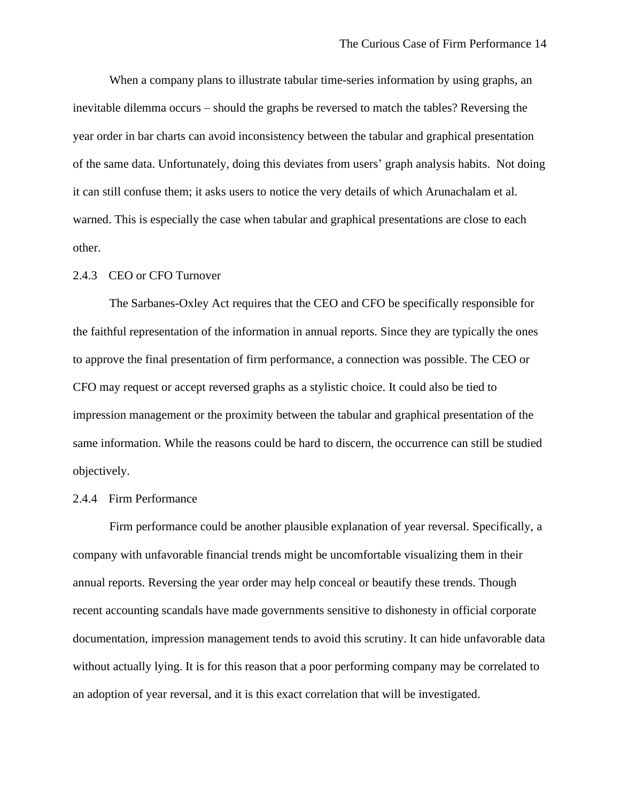When a company plans to illustrate tabular time-series information by using graphs, an inevitable dilemma occurs – should the graphs be reversed to match the tables? Reversing the year order in bar charts can avoid inconsistency between the tabular and graphical presentation of the same data. Unfortunately, doing this deviates from users' graph analysis habits. Not doing it can still confuse them; it asks users to notice the very details of which Arunachalam et al. warned. This is especially the case when tabular and graphical presentations are close to each other.

#### <span id="page-15-0"></span>2.4.3 CEO or CFO Turnover

The Sarbanes-Oxley Act requires that the CEO and CFO be specifically responsible for the faithful representation of the information in annual reports. Since they are typically the ones to approve the final presentation of firm performance, a connection was possible. The CEO or CFO may request or accept reversed graphs as a stylistic choice. It could also be tied to impression management or the proximity between the tabular and graphical presentation of the same information. While the reasons could be hard to discern, the occurrence can still be studied objectively.

#### <span id="page-15-1"></span>2.4.4 Firm Performance

Firm performance could be another plausible explanation of year reversal. Specifically, a company with unfavorable financial trends might be uncomfortable visualizing them in their annual reports. Reversing the year order may help conceal or beautify these trends. Though recent accounting scandals have made governments sensitive to dishonesty in official corporate documentation, impression management tends to avoid this scrutiny. It can hide unfavorable data without actually lying. It is for this reason that a poor performing company may be correlated to an adoption of year reversal, and it is this exact correlation that will be investigated.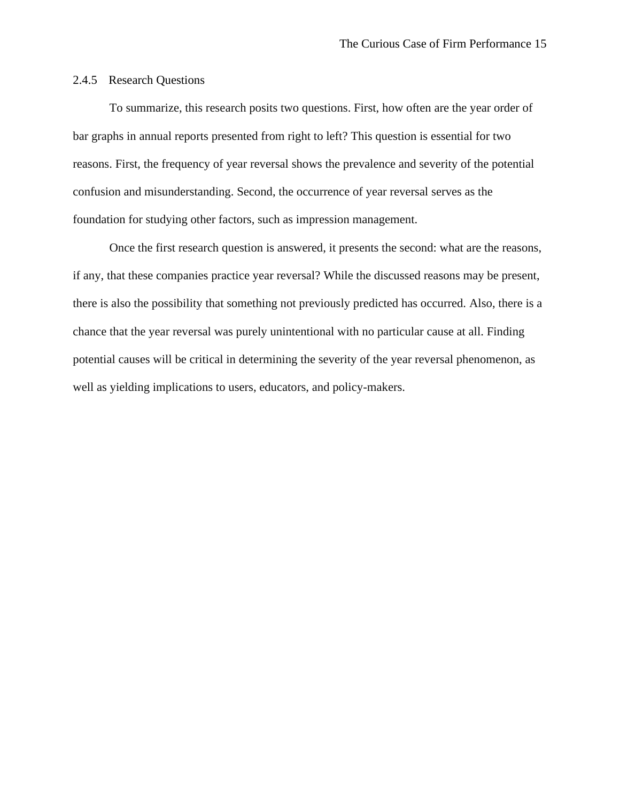#### <span id="page-16-0"></span>2.4.5 Research Questions

To summarize, this research posits two questions. First, how often are the year order of bar graphs in annual reports presented from right to left? This question is essential for two reasons. First, the frequency of year reversal shows the prevalence and severity of the potential confusion and misunderstanding. Second, the occurrence of year reversal serves as the foundation for studying other factors, such as impression management.

Once the first research question is answered, it presents the second: what are the reasons, if any, that these companies practice year reversal? While the discussed reasons may be present, there is also the possibility that something not previously predicted has occurred. Also, there is a chance that the year reversal was purely unintentional with no particular cause at all. Finding potential causes will be critical in determining the severity of the year reversal phenomenon, as well as yielding implications to users, educators, and policy-makers.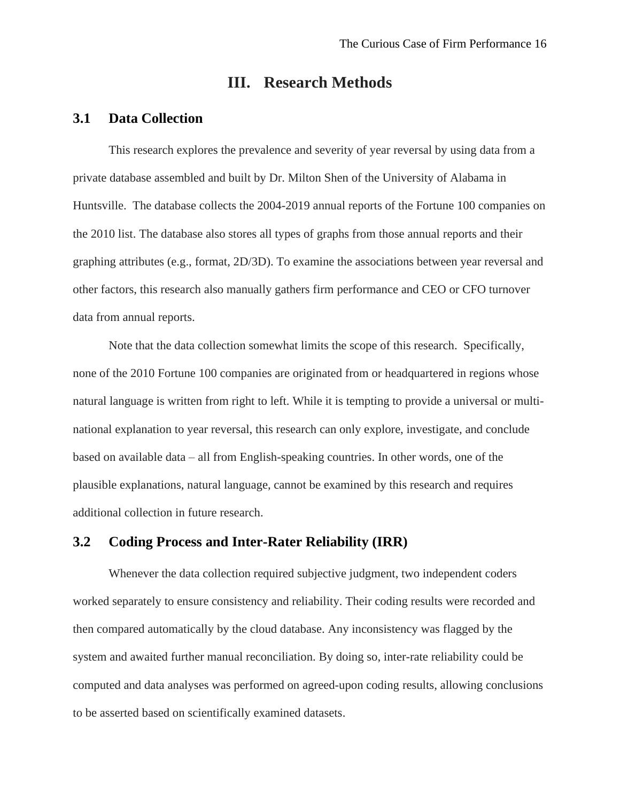## **III. Research Methods**

### <span id="page-17-1"></span><span id="page-17-0"></span>**3.1 Data Collection**

This research explores the prevalence and severity of year reversal by using data from a private database assembled and built by Dr. Milton Shen of the University of Alabama in Huntsville. The database collects the 2004-2019 annual reports of the Fortune 100 companies on the 2010 list. The database also stores all types of graphs from those annual reports and their graphing attributes (e.g., format, 2D/3D). To examine the associations between year reversal and other factors, this research also manually gathers firm performance and CEO or CFO turnover data from annual reports.

Note that the data collection somewhat limits the scope of this research. Specifically, none of the 2010 Fortune 100 companies are originated from or headquartered in regions whose natural language is written from right to left. While it is tempting to provide a universal or multinational explanation to year reversal, this research can only explore, investigate, and conclude based on available data – all from English-speaking countries. In other words, one of the plausible explanations, natural language, cannot be examined by this research and requires additional collection in future research.

### <span id="page-17-2"></span>**3.2 Coding Process and Inter-Rater Reliability (IRR)**

Whenever the data collection required subjective judgment, two independent coders worked separately to ensure consistency and reliability. Their coding results were recorded and then compared automatically by the cloud database. Any inconsistency was flagged by the system and awaited further manual reconciliation. By doing so, inter-rate reliability could be computed and data analyses was performed on agreed-upon coding results, allowing conclusions to be asserted based on scientifically examined datasets.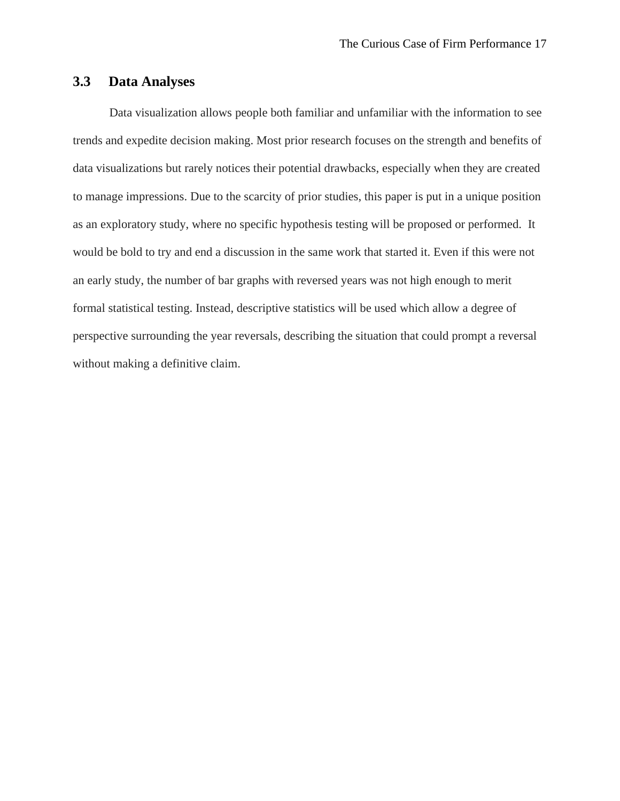## <span id="page-18-0"></span>**3.3 Data Analyses**

Data visualization allows people both familiar and unfamiliar with the information to see trends and expedite decision making. Most prior research focuses on the strength and benefits of data visualizations but rarely notices their potential drawbacks, especially when they are created to manage impressions. Due to the scarcity of prior studies, this paper is put in a unique position as an exploratory study, where no specific hypothesis testing will be proposed or performed. It would be bold to try and end a discussion in the same work that started it. Even if this were not an early study, the number of bar graphs with reversed years was not high enough to merit formal statistical testing. Instead, descriptive statistics will be used which allow a degree of perspective surrounding the year reversals, describing the situation that could prompt a reversal without making a definitive claim.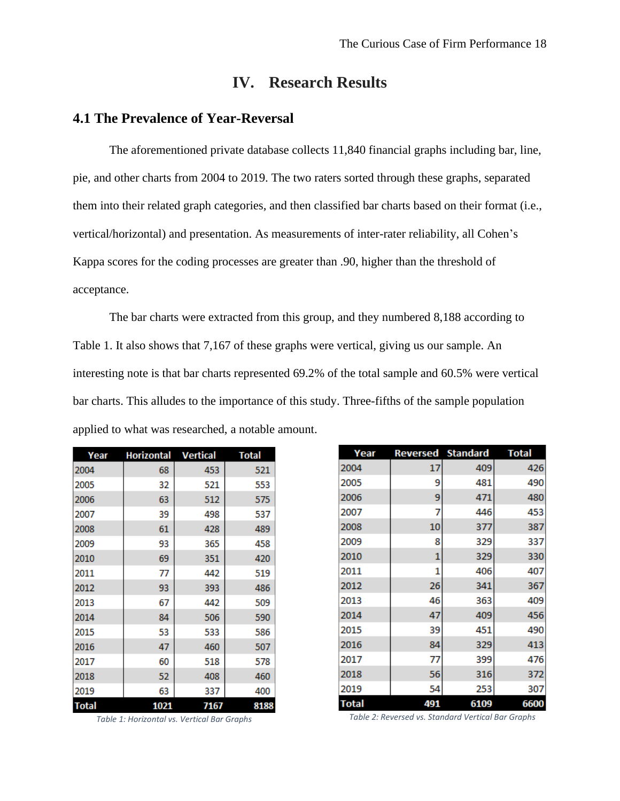## **IV. Research Results**

### <span id="page-19-1"></span><span id="page-19-0"></span>**4.1 The Prevalence of Year-Reversal**

The aforementioned private database collects 11,840 financial graphs including bar, line, pie, and other charts from 2004 to 2019. The two raters sorted through these graphs, separated them into their related graph categories, and then classified bar charts based on their format (i.e., vertical/horizontal) and presentation. As measurements of inter-rater reliability, all Cohen's Kappa scores for the coding processes are greater than .90, higher than the threshold of acceptance.

The bar charts were extracted from this group, and they numbered 8,188 according to Table 1. It also shows that 7,167 of these graphs were vertical, giving us our sample. An interesting note is that bar charts represented 69.2% of the total sample and 60.5% were vertical bar charts. This alludes to the importance of this study. Three-fifths of the sample population applied to what was researched, a notable amount.

| Year         | <b>Horizontal</b> | <b>Vertical</b> | <b>Total</b> |
|--------------|-------------------|-----------------|--------------|
| 2004         | 68                | 453             | 521          |
| 2005         | 32                | 521             | 553          |
| 2006         | 63                | 512             | 575          |
| 2007         | 39                | 498             | 537          |
| 2008         | 61                | 428             | 489          |
| 2009         | 93                | 365             | 458          |
| 2010         | 69                | 351             | 420          |
| 2011         | 77                | 442             | 519          |
| 2012         | 93                | 393             | 486          |
| 2013         | 67                | 442             | 509          |
| 2014         | 84                | 506             | 590          |
| 2015         | 53                | 533             | 586          |
| 2016         | 47                | 460             | 507          |
| 2017         | 60                | 518             | 578          |
| 2018         | 52                | 408             | 460          |
| 2019         | 63                | 337             | 400          |
| <b>Total</b> | 1021              | 7167            | 8188         |

| 2004         | 17  | 409  | 426  |
|--------------|-----|------|------|
| 2005         | 9   | 481  | 490  |
| 2006         | 9   | 471  | 480  |
| 2007         | 7   | 446  | 453  |
| 2008         | 10  | 377  | 387  |
| 2009         | 8   | 329  | 337  |
| 2010         | 1   | 329  | 330  |
| 2011         | 1   | 406  | 407  |
| 2012         | 26  | 341  | 367  |
| 2013         | 46  | 363  | 409  |
| 2014         | 47  | 409  | 456  |
| 2015         | 39  | 451  | 490  |
| 2016         | 84  | 329  | 413  |
| 2017         | 77  | 399  | 476  |
| 2018         | 56  | 316  | 372  |
| 2019         | 54  | 253  | 307  |
| <b>Total</b> | 491 | 6109 | 6600 |

Year Reversed Standard Total

*Table 1: Horizontal vs. Vertical Bar Graphs Table 2: Reversed vs. Standard Vertical Bar Graphs*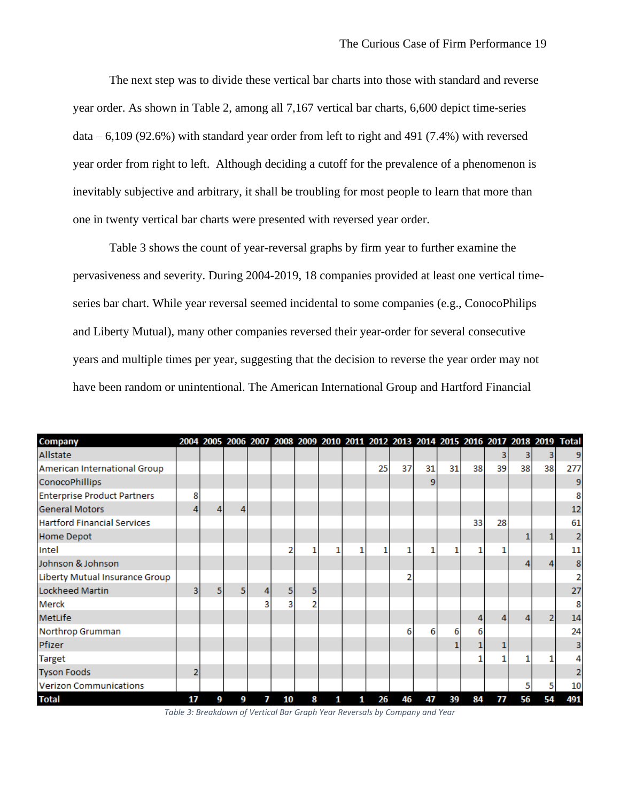The next step was to divide these vertical bar charts into those with standard and reverse year order. As shown in Table 2, among all 7,167 vertical bar charts, 6,600 depict time-series  $data - 6,109$  (92.6%) with standard year order from left to right and 491 (7.4%) with reversed year order from right to left. Although deciding a cutoff for the prevalence of a phenomenon is inevitably subjective and arbitrary, it shall be troubling for most people to learn that more than one in twenty vertical bar charts were presented with reversed year order.

Table 3 shows the count of year-reversal graphs by firm year to further examine the pervasiveness and severity. During 2004-2019, 18 companies provided at least one vertical timeseries bar chart. While year reversal seemed incidental to some companies (e.g., ConocoPhilips and Liberty Mutual), many other companies reversed their year-order for several consecutive years and multiple times per year, suggesting that the decision to reverse the year order may not have been random or unintentional. The American International Group and Hartford Financial

| <b>Company</b>                     |    |   |   |   |    |   |   |   |    |    |    |    |    | 2004 2005 2006 2007 2008 2009 2010 2011 2012 2013 2014 2015 2016 2017 2018 2019 Total |    |                |                         |
|------------------------------------|----|---|---|---|----|---|---|---|----|----|----|----|----|---------------------------------------------------------------------------------------|----|----------------|-------------------------|
| Allstate                           |    |   |   |   |    |   |   |   |    |    |    |    |    | 3                                                                                     |    | 3              | 9                       |
| American International Group       |    |   |   |   |    |   |   |   | 25 | 37 | 31 | 31 | 38 | 39                                                                                    | 38 | 38             | 277                     |
| <b>ConocoPhillips</b>              |    |   |   |   |    |   |   |   |    |    | 9  |    |    |                                                                                       |    |                | 9                       |
| <b>Enterprise Product Partners</b> |    |   |   |   |    |   |   |   |    |    |    |    |    |                                                                                       |    |                | 8                       |
| <b>General Motors</b>              |    | Δ | Δ |   |    |   |   |   |    |    |    |    |    |                                                                                       |    |                | 12                      |
| <b>Hartford Financial Services</b> |    |   |   |   |    |   |   |   |    |    |    |    | 33 | 28                                                                                    |    |                | 61                      |
| <b>Home Depot</b>                  |    |   |   |   |    |   |   |   |    |    |    |    |    |                                                                                       |    | 1              | $\overline{\mathbf{c}}$ |
| Intel                              |    |   |   |   |    |   |   |   |    |    |    |    |    |                                                                                       |    |                | 11                      |
| Johnson & Johnson                  |    |   |   |   |    |   |   |   |    |    |    |    |    |                                                                                       | 4  | 4              | 8                       |
| Liberty Mutual Insurance Group     |    |   |   |   |    |   |   |   |    |    |    |    |    |                                                                                       |    |                | 2                       |
| Lockheed Martin                    |    | 5 | 5 | 4 | 5  | 5 |   |   |    |    |    |    |    |                                                                                       |    |                | 27                      |
| Merck                              |    |   |   |   |    |   |   |   |    |    |    |    |    |                                                                                       |    |                | 8                       |
| <b>MetLife</b>                     |    |   |   |   |    |   |   |   |    |    |    |    | Δ  | 4                                                                                     | Δ  | $\overline{2}$ | 14                      |
| Northrop Grumman                   |    |   |   |   |    |   |   |   |    | 6  | 6  | 6  | 6  |                                                                                       |    |                | 24                      |
| Pfizer                             |    |   |   |   |    |   |   |   |    |    |    |    |    |                                                                                       |    |                | 3                       |
| <b>Target</b>                      |    |   |   |   |    |   |   |   |    |    |    |    |    |                                                                                       |    |                | 4                       |
| <b>Tyson Foods</b>                 |    |   |   |   |    |   |   |   |    |    |    |    |    |                                                                                       |    |                | $\overline{2}$          |
| <b>Verizon Communications</b>      |    |   |   |   |    |   |   |   |    |    |    |    |    |                                                                                       |    | 5              | 10                      |
| <b>Total</b>                       | 17 | 9 | 9 |   | 10 | 8 | 1 | 1 | 26 | 46 | 47 | 39 | 84 | 77                                                                                    | 56 | 54             | 491                     |

*Table 3: Breakdown of Vertical Bar Graph Year Reversals by Company and Year*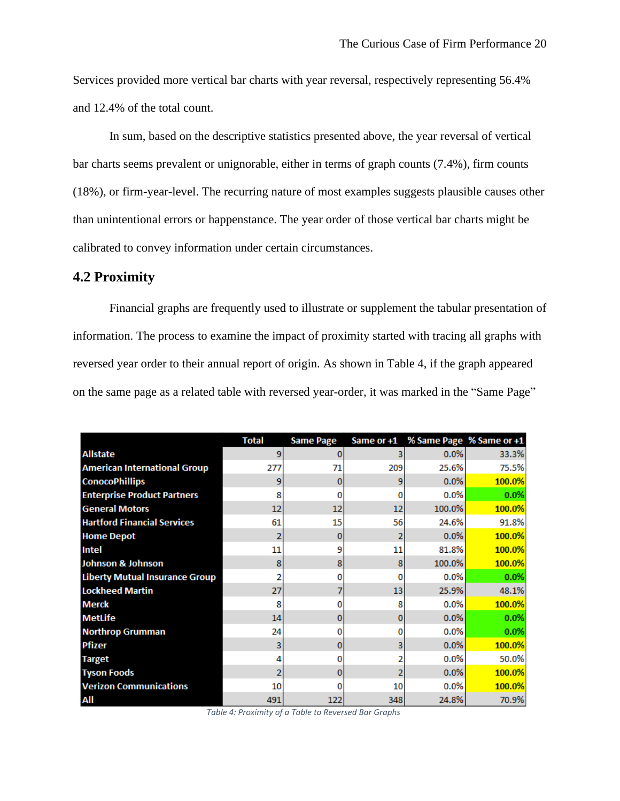Services provided more vertical bar charts with year reversal, respectively representing 56.4% and 12.4% of the total count.

In sum, based on the descriptive statistics presented above, the year reversal of vertical bar charts seems prevalent or unignorable, either in terms of graph counts (7.4%), firm counts (18%), or firm-year-level. The recurring nature of most examples suggests plausible causes other than unintentional errors or happenstance. The year order of those vertical bar charts might be calibrated to convey information under certain circumstances.

#### <span id="page-21-0"></span>**4.2 Proximity**

Financial graphs are frequently used to illustrate or supplement the tabular presentation of information. The process to examine the impact of proximity started with tracing all graphs with reversed year order to their annual report of origin. As shown in Table 4, if the graph appeared on the same page as a related table with reversed year-order, it was marked in the "Same Page"

|                                       | <b>Total</b> | <b>Same Page</b> |     |        | Same or +1 % Same Page % Same or +1 |
|---------------------------------------|--------------|------------------|-----|--------|-------------------------------------|
| <b>Allstate</b>                       | 9            | o                |     | 0.0%   | 33.3%                               |
| <b>American International Group</b>   | 277          | 71               | 209 | 25.6%  | 75.5%                               |
| <b>ConocoPhillips</b>                 | 9            | 0                |     | 0.0%   | 100.0%                              |
| <b>Enterprise Product Partners</b>    |              |                  |     | 0.0%   | 0.0%                                |
| <b>General Motors</b>                 | 12           | 12               | 12  | 100.0% | 100.0%                              |
| <b>Hartford Financial Services</b>    | 61           | 15               | 56  | 24.6%  | 91.8%                               |
| <b>Home Depot</b>                     |              | 0                |     | 0.0%   | 100.0%                              |
| <b>Intel</b>                          | 11           |                  | 11  | 81.8%  | 100.0%                              |
| Johnson & Johnson                     | 8            | 8                | 8   | 100.0% | 100.0%                              |
| <b>Liberty Mutual Insurance Group</b> |              | n                |     | 0.0%   | 0.0%                                |
| <b>Lockheed Martin</b>                | 27           |                  | 13  | 25.9%  | 48.1%                               |
| <b>Merck</b>                          |              |                  |     | 0.0%   | 100.0%                              |
| <b>MetLife</b>                        | 14           | 0                | 0   | 0.0%   | 0.0%                                |
| <b>Northrop Grumman</b>               | 24           | Ω                |     | 0.0%   | 0.0%                                |
| <b>Pfizer</b>                         | 3            | $\bf{0}$         | 3   | 0.0%   | 100.0%                              |
| <b>Target</b>                         |              |                  |     | 0.0%   | 50.0%                               |
| <b>Tyson Foods</b>                    |              | 0                |     | 0.0%   | 100.0%                              |
| <b>Verizon Communications</b>         | 10           |                  | 10  | 0.0%   | 100.0%                              |
| All                                   | 491          | 122              | 348 | 24.8%  | 70.9%                               |

*Table 4: Proximity of a Table to Reversed Bar Graphs*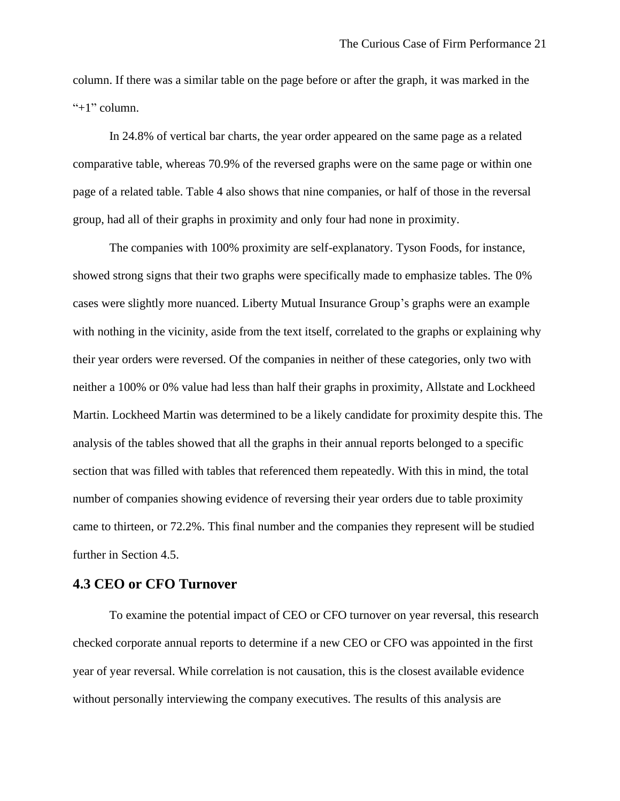column. If there was a similar table on the page before or after the graph, it was marked in the " $+1$ " column.

In 24.8% of vertical bar charts, the year order appeared on the same page as a related comparative table, whereas 70.9% of the reversed graphs were on the same page or within one page of a related table. Table 4 also shows that nine companies, or half of those in the reversal group, had all of their graphs in proximity and only four had none in proximity.

The companies with 100% proximity are self-explanatory. Tyson Foods, for instance, showed strong signs that their two graphs were specifically made to emphasize tables. The 0% cases were slightly more nuanced. Liberty Mutual Insurance Group's graphs were an example with nothing in the vicinity, aside from the text itself, correlated to the graphs or explaining why their year orders were reversed. Of the companies in neither of these categories, only two with neither a 100% or 0% value had less than half their graphs in proximity, Allstate and Lockheed Martin. Lockheed Martin was determined to be a likely candidate for proximity despite this. The analysis of the tables showed that all the graphs in their annual reports belonged to a specific section that was filled with tables that referenced them repeatedly. With this in mind, the total number of companies showing evidence of reversing their year orders due to table proximity came to thirteen, or 72.2%. This final number and the companies they represent will be studied further in Section 4.5.

### <span id="page-22-0"></span>**4.3 CEO or CFO Turnover**

To examine the potential impact of CEO or CFO turnover on year reversal, this research checked corporate annual reports to determine if a new CEO or CFO was appointed in the first year of year reversal. While correlation is not causation, this is the closest available evidence without personally interviewing the company executives. The results of this analysis are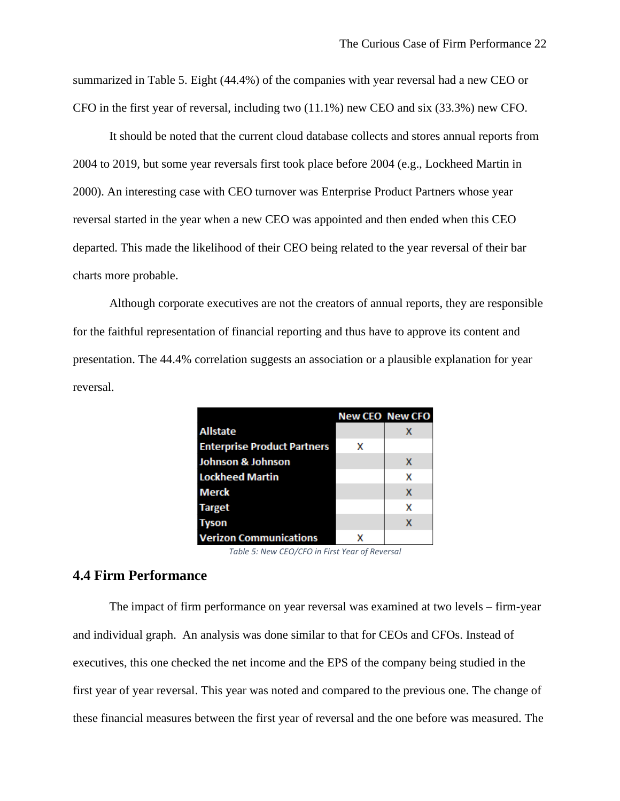summarized in Table 5. Eight (44.4%) of the companies with year reversal had a new CEO or CFO in the first year of reversal, including two (11.1%) new CEO and six (33.3%) new CFO.

It should be noted that the current cloud database collects and stores annual reports from 2004 to 2019, but some year reversals first took place before 2004 (e.g., Lockheed Martin in 2000). An interesting case with CEO turnover was Enterprise Product Partners whose year reversal started in the year when a new CEO was appointed and then ended when this CEO departed. This made the likelihood of their CEO being related to the year reversal of their bar charts more probable.

Although corporate executives are not the creators of annual reports, they are responsible for the faithful representation of financial reporting and thus have to approve its content and presentation. The 44.4% correlation suggests an association or a plausible explanation for year reversal.

<span id="page-23-0"></span>

|                                    |   | <b>New CEO New CFO</b> |
|------------------------------------|---|------------------------|
| <b>Allstate</b>                    |   | x                      |
| <b>Enterprise Product Partners</b> | x |                        |
| Johnson & Johnson                  |   | x                      |
| <b>Lockheed Martin</b>             |   | x                      |
| Merck                              |   | x                      |
| <b>Target</b>                      |   | x                      |
| Tyson                              |   | x                      |
| <b>Verizon Communications</b>      |   |                        |

*Table 5: New CEO/CFO in First Year of Reversal*

### **4.4 Firm Performance**

The impact of firm performance on year reversal was examined at two levels – firm-year and individual graph. An analysis was done similar to that for CEOs and CFOs. Instead of executives, this one checked the net income and the EPS of the company being studied in the first year of year reversal. This year was noted and compared to the previous one. The change of these financial measures between the first year of reversal and the one before was measured. The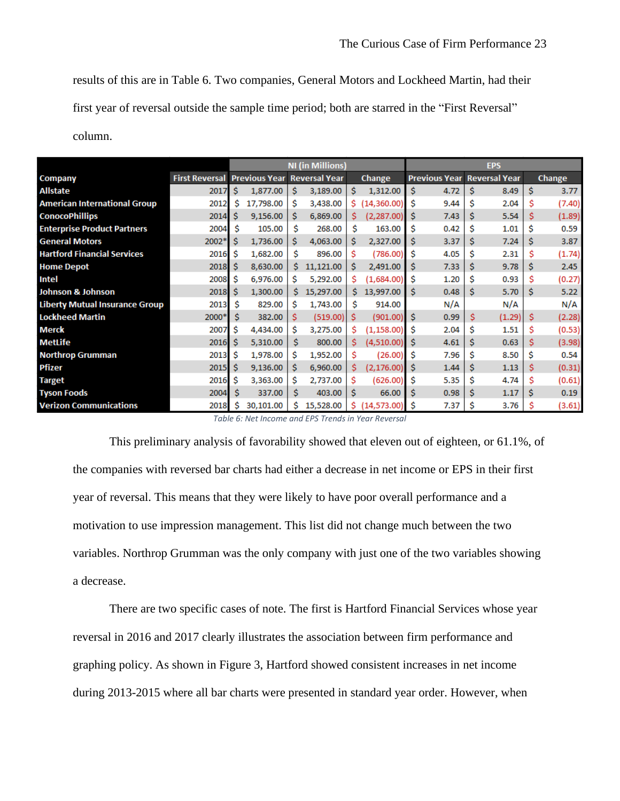results of this are in Table 6. Two companies, General Motors and Lockheed Martin, had their

first year of reversal outside the sample time period; both are starred in the "First Reversal"

column.

|                                       |                                                   |   |           |   | <b>NI</b> (in Millions) | <b>EPS</b> |                   |    |                                    |   |        |    |               |
|---------------------------------------|---------------------------------------------------|---|-----------|---|-------------------------|------------|-------------------|----|------------------------------------|---|--------|----|---------------|
| Company                               | <b>First Reversal Previous Year Reversal Year</b> |   |           |   |                         |            | Change            |    | <b>Previous Year Reversal Year</b> |   |        |    | <b>Change</b> |
| <b>Allstate</b>                       | 2017                                              | Ś | 1,877.00  | Ŝ | 3,189.00                | Ŝ          | 1,312.00          | Ś  | 4.72                               | Ŝ | 8.49   | Ŝ. | 3.77          |
| <b>American International Group</b>   | 2012                                              | Ŝ | 17,798.00 | Ŝ | 3,438.00                |            | $$(14,360.00)$ \$ |    | 9.44                               |   | 2.04   | Ś  | (7.40)        |
| <b>ConocoPhillips</b>                 | 2014                                              | Ŝ | 9,156.00  | s | 6,869.00                | s          | (2, 287.00)       |    | 7.43                               |   | 5.54   | s. | (1.89)        |
| <b>Enterprise Product Partners</b>    | 2004                                              | Ŝ | 105.00    | S | 268.00                  | Ŝ          | 163.00            |    | 0.42                               | Ŝ | 1.01   | Ś  | 0.59          |
| <b>General Motors</b>                 | 2002*                                             | Ŝ | 1,736.00  | Ŝ | 4,063.00                | Ŝ          | 2,327.00          | Ŝ  | 3.37                               | Ś | 7.24   | Ś  | 3.87          |
| <b>Hartford Financial Services</b>    | 2016                                              | Ś | 1,682.00  | S | 896.00                  | s          | (786.00)          |    | 4.05                               | Ś | 2.31   | Ŝ. | (1.74)        |
| <b>Home Depot</b>                     | 2018                                              | Ŝ | 8,630.00  | Ś | 11,121.00               | Ŝ          | 2,491.00          |    | 7.33                               |   | 9.78   | Ŝ. | 2.45          |
| <b>Intel</b>                          | 2008                                              | Ŝ | 6,976.00  | Ŝ | 5,292.00                | s          | $(1,684.00)$ \$   |    | 1.20                               | Ŝ | 0.93   | s  | (0.27)        |
| Johnson & Johnson                     | 2018                                              | Ŝ | 1,300.00  | s | 15,297.00               | Ŝ.         | 13,997.00         | s  | 0.48                               | Ś | 5.70   | Ŝ  | 5.22          |
| <b>Liberty Mutual Insurance Group</b> | 2013                                              | Ŝ | 829.00    | Ŝ | 1,743.00                | Ŝ.         | 914.00            |    | N/A                                |   | N/A    |    | N/A           |
| <b>Lockheed Martin</b>                | 2000*                                             | Ś | 382.00    | s | (519.00)                | S          | $(901.00)$ \$     |    | 0.99                               | Ś | (1.29) | Ŝ. | (2.28)        |
| Merck                                 | 2007                                              | Ś | 4,434.00  | Ś | 3,275.00                | s          | $(1, 158.00)$ \$  |    | 2.04                               | Ś | 1.51   | Ś. | (0.53)        |
| MetLife                               | 2016                                              | Ŝ | 5,310.00  | s | 800.00                  | s          | $(4,510.00)$ \$   |    | 4.61                               |   | 0.63   | s  | (3.98)        |
| <b>Northrop Grumman</b>               | 2013                                              | Ŝ | 1,978.00  | Ś | 1,952.00                | .s         | (26.00)           | ۱Ś | 7.96                               | Ŝ | 8.50   | Ŝ  | 0.54          |
| <b>Pfizer</b>                         | 2015                                              | Ŝ | 9,136.00  | Ŝ | 6,960.00                | s          | $(2, 176.00)$ \$  |    | 1.44                               |   | 1.13   | Ś. | (0.31)        |
| <b>Target</b>                         | 2016                                              | Ŝ | 3,363.00  | Ŝ | 2,737.00                | s          | $(626.00)$ \$     |    | 5.35                               | Ŝ | 4.74   | Ś  | (0.61)        |
| <b>Tyson Foods</b>                    | 2004                                              | Ś | 337.00    | Ś | 403.00                  | Ś          | 66.00             |    | 0.98                               |   | 1.17   |    | 0.19          |
| <b>Verizon Communications</b>         | 2018                                              | Ŝ | 30,101.00 | Ŝ | 15,528.00               | s          | $(14,573.00)$ \$  |    | 7.37                               |   | 3.76   |    | (3.61)        |

*Table 6: Net Income and EPS Trends in Year Reversal*

This preliminary analysis of favorability showed that eleven out of eighteen, or 61.1%, of the companies with reversed bar charts had either a decrease in net income or EPS in their first year of reversal. This means that they were likely to have poor overall performance and a motivation to use impression management. This list did not change much between the two variables. Northrop Grumman was the only company with just one of the two variables showing a decrease.

There are two specific cases of note. The first is Hartford Financial Services whose year reversal in 2016 and 2017 clearly illustrates the association between firm performance and graphing policy. As shown in Figure 3, Hartford showed consistent increases in net income during 2013-2015 where all bar charts were presented in standard year order. However, when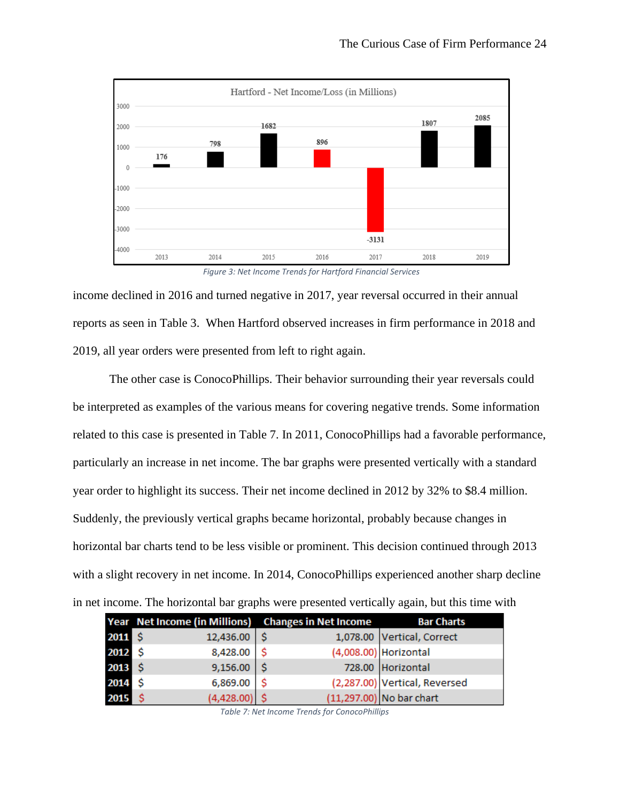

*Figure 3: Net Income Trends for Hartford Financial Services*

income declined in 2016 and turned negative in 2017, year reversal occurred in their annual reports as seen in Table 3. When Hartford observed increases in firm performance in 2018 and 2019, all year orders were presented from left to right again.

The other case is ConocoPhillips. Their behavior surrounding their year reversals could be interpreted as examples of the various means for covering negative trends. Some information related to this case is presented in Table 7. In 2011, ConocoPhillips had a favorable performance, particularly an increase in net income. The bar graphs were presented vertically with a standard year order to highlight its success. Their net income declined in 2012 by 32% to \$8.4 million. Suddenly, the previously vertical graphs became horizontal, probably because changes in horizontal bar charts tend to be less visible or prominent. This decision continued through 2013 with a slight recovery in net income. In 2014, ConocoPhillips experienced another sharp decline in net income. The horizontal bar graphs were presented vertically again, but this time with

|                |                 | Year Net Income (in Millions) Changes in Net Income | <b>Bar Charts</b>             |
|----------------|-----------------|-----------------------------------------------------|-------------------------------|
| $2011 \pm 5$   | 12,436.00       |                                                     | 1,078.00 Vertical, Correct    |
| 2012S          | 8,428.00        |                                                     | (4,008.00) Horizontal         |
| $2013 \quad $$ | 9,156.00        |                                                     | 728.00 Horizontal             |
| 2014S          | 6,869.00        |                                                     | (2,287.00) Vertical, Reversed |
| 2015           | $(4,428.00)$ \$ |                                                     | $(11,297.00)$ No bar chart    |

*Table 7: Net Income Trends for ConocoPhillips*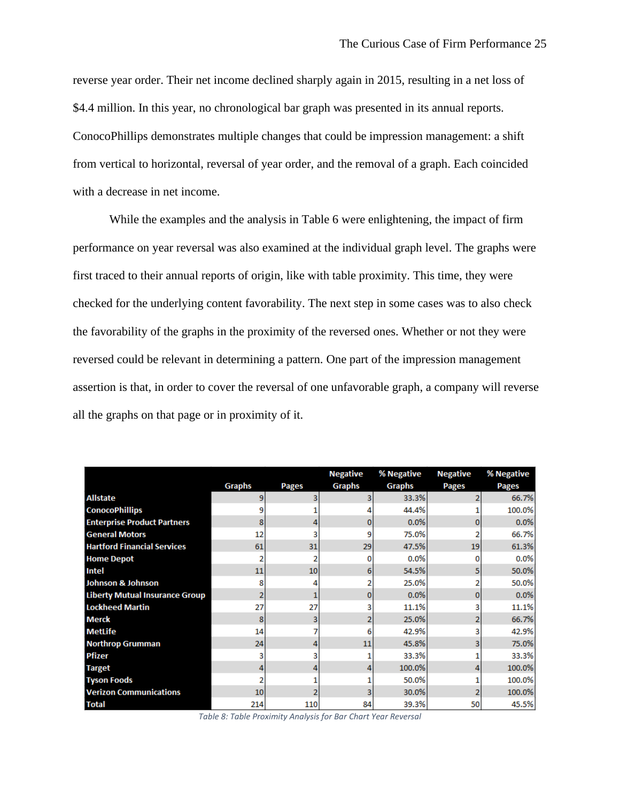reverse year order. Their net income declined sharply again in 2015, resulting in a net loss of \$4.4 million. In this year, no chronological bar graph was presented in its annual reports. ConocoPhillips demonstrates multiple changes that could be impression management: a shift from vertical to horizontal, reversal of year order, and the removal of a graph. Each coincided with a decrease in net income.

While the examples and the analysis in Table 6 were enlightening, the impact of firm performance on year reversal was also examined at the individual graph level. The graphs were first traced to their annual reports of origin, like with table proximity. This time, they were checked for the underlying content favorability. The next step in some cases was to also check the favorability of the graphs in the proximity of the reversed ones. Whether or not they were reversed could be relevant in determining a pattern. One part of the impression management assertion is that, in order to cover the reversal of one unfavorable graph, a company will reverse all the graphs on that page or in proximity of it.

|                                       |               |              | <b>Negative</b> | % Negative    | <b>Negative</b> | % Negative   |
|---------------------------------------|---------------|--------------|-----------------|---------------|-----------------|--------------|
|                                       | <b>Graphs</b> | <b>Pages</b> | <b>Graphs</b>   | <b>Graphs</b> | <b>Pages</b>    | <b>Pages</b> |
| <b>Allstate</b>                       | 9             | 3            |                 | 33.3%         |                 | 66.7%        |
| <b>ConocoPhillips</b>                 |               |              |                 | 44.4%         |                 | 100.0%       |
| <b>Enterprise Product Partners</b>    | 8             | 4            | O               | 0.0%          | o               | 0.0%         |
| <b>General Motors</b>                 | 12            |              |                 | 75.0%         |                 | 66.7%        |
| <b>Hartford Financial Services</b>    | 61            | 31           | 29              | 47.5%         | 19              | 61.3%        |
| <b>Home Depot</b>                     |               |              |                 | 0.0%          |                 | 0.0%         |
| <b>Intel</b>                          | 11            | 10           | 6               | 54.5%         |                 | 50.0%        |
| Johnson & Johnson                     | 8             |              |                 | 25.0%         |                 | 50.0%        |
| <b>Liberty Mutual Insurance Group</b> |               |              |                 | 0.0%          |                 | 0.0%         |
| <b>Lockheed Martin</b>                | 27            | 27           |                 | 11.1%         |                 | 11.1%        |
| <b>Merck</b>                          | 8             | 3            |                 | 25.0%         |                 | 66.7%        |
| <b>MetLife</b>                        | 14            |              |                 | 42.9%         |                 | 42.9%        |
| <b>Northrop Grumman</b>               | 24            | 4            | 11              | 45.8%         |                 | 75.0%        |
| <b>Pfizer</b>                         |               |              |                 | 33.3%         |                 | 33.3%        |
| <b>Target</b>                         |               | 4            |                 | 100.0%        |                 | 100.0%       |
| <b>Tyson Foods</b>                    |               |              |                 | 50.0%         |                 | 100.0%       |
| <b>Verizon Communications</b>         | 10            |              |                 | 30.0%         |                 | 100.0%       |
| <b>Total</b>                          | 214           | 110          | 84              | 39.3%         | 50              | 45.5%        |

*Table 8: Table Proximity Analysis for Bar Chart Year Reversal*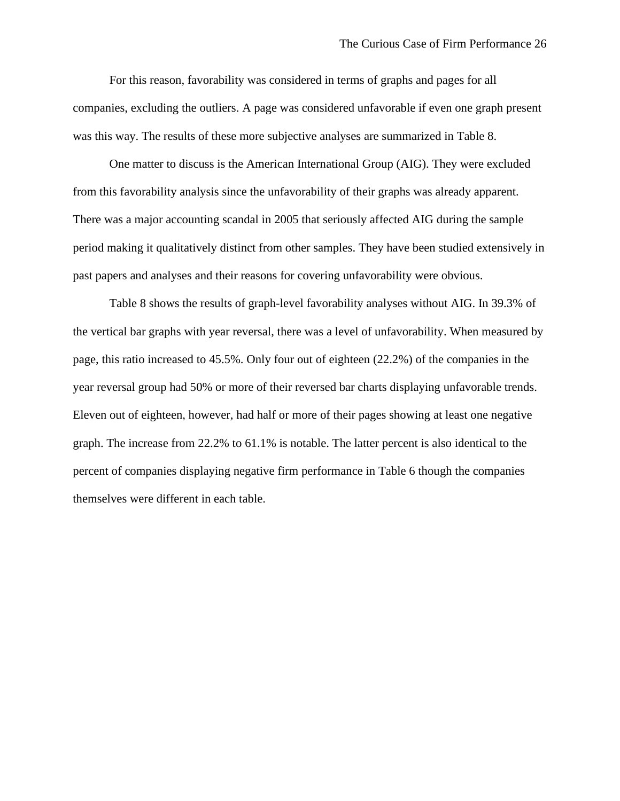For this reason, favorability was considered in terms of graphs and pages for all companies, excluding the outliers. A page was considered unfavorable if even one graph present was this way. The results of these more subjective analyses are summarized in Table 8.

One matter to discuss is the American International Group (AIG). They were excluded from this favorability analysis since the unfavorability of their graphs was already apparent. There was a major accounting scandal in 2005 that seriously affected AIG during the sample period making it qualitatively distinct from other samples. They have been studied extensively in past papers and analyses and their reasons for covering unfavorability were obvious.

Table 8 shows the results of graph-level favorability analyses without AIG. In 39.3% of the vertical bar graphs with year reversal, there was a level of unfavorability. When measured by page, this ratio increased to 45.5%. Only four out of eighteen (22.2%) of the companies in the year reversal group had 50% or more of their reversed bar charts displaying unfavorable trends. Eleven out of eighteen, however, had half or more of their pages showing at least one negative graph. The increase from 22.2% to 61.1% is notable. The latter percent is also identical to the percent of companies displaying negative firm performance in Table 6 though the companies themselves were different in each table.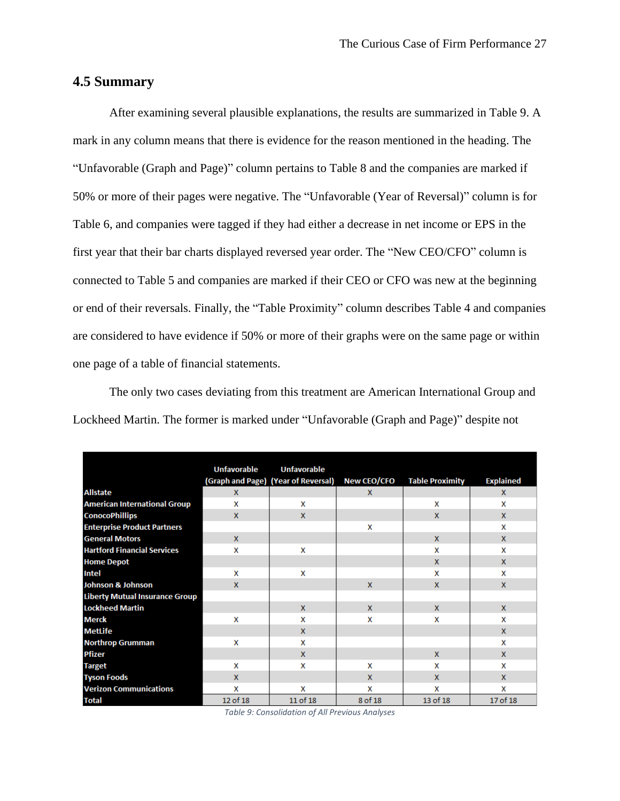### <span id="page-28-0"></span>**4.5 Summary**

After examining several plausible explanations, the results are summarized in Table 9. A mark in any column means that there is evidence for the reason mentioned in the heading. The "Unfavorable (Graph and Page)" column pertains to Table 8 and the companies are marked if 50% or more of their pages were negative. The "Unfavorable (Year of Reversal)" column is for Table 6, and companies were tagged if they had either a decrease in net income or EPS in the first year that their bar charts displayed reversed year order. The "New CEO/CFO" column is connected to Table 5 and companies are marked if their CEO or CFO was new at the beginning or end of their reversals. Finally, the "Table Proximity" column describes Table 4 and companies are considered to have evidence if 50% or more of their graphs were on the same page or within one page of a table of financial statements.

The only two cases deviating from this treatment are American International Group and Lockheed Martin. The former is marked under "Unfavorable (Graph and Page)" despite not

|                                       | <b>Unfavorable</b> | <b>Unfavorable</b>                  |                    |                        |                  |
|---------------------------------------|--------------------|-------------------------------------|--------------------|------------------------|------------------|
|                                       |                    | (Graph and Page) (Year of Reversal) | <b>New CEO/CFO</b> | <b>Table Proximity</b> | <b>Explained</b> |
| <b>Allstate</b>                       | $\mathbf{x}$       |                                     | $\mathsf{x}$       |                        | $\mathsf{x}$     |
| <b>American International Group</b>   | x                  | х                                   |                    | x                      | x                |
| <b>ConocoPhillips</b>                 | $\mathbf{x}$       | $\mathbf{x}$                        |                    | $\mathbf{x}$           | $\mathbf{x}$     |
| <b>Enterprise Product Partners</b>    |                    |                                     | x                  |                        | x                |
| <b>General Motors</b>                 | $\mathsf{x}$       |                                     |                    | $\mathsf{x}$           | $\mathsf{x}$     |
| <b>Hartford Financial Services</b>    | x                  | x                                   |                    | x                      | x                |
| <b>Home Depot</b>                     |                    |                                     |                    | X                      | X                |
| Intel                                 | x                  | x                                   |                    | x                      | x                |
| Johnson & Johnson                     | $\mathbf{x}$       |                                     | $\mathbf{x}$       | $\mathsf{x}$           | $\mathbf{x}$     |
| <b>Liberty Mutual Insurance Group</b> |                    |                                     |                    |                        |                  |
| <b>Lockheed Martin</b>                |                    | $\mathsf{x}$                        | $\mathsf{x}$       | $\mathsf{x}$           | $\mathsf{x}$     |
| Merck                                 | x                  | x                                   | x                  | x                      | x                |
| <b>MetLife</b>                        |                    | $\mathsf{x}$                        |                    |                        | X                |
| <b>Northrop Grumman</b>               | x                  | x                                   |                    |                        | x                |
| <b>Pfizer</b>                         |                    | $\mathsf{x}$                        |                    | $\mathbf{x}$           | X                |
| <b>Target</b>                         | x                  | x                                   | x                  | x                      | x                |
| <b>Tyson Foods</b>                    | $\mathbf{x}$       |                                     | X                  | X                      | X                |
| <b>Verizon Communications</b>         | x                  | x                                   | x                  | x                      | x                |
| <b>Total</b>                          | 12 of 18           | 11 of 18                            | 8 of 18            | 13 of 18               | 17 of 18         |

*Table 9: Consolidation of All Previous Analyses*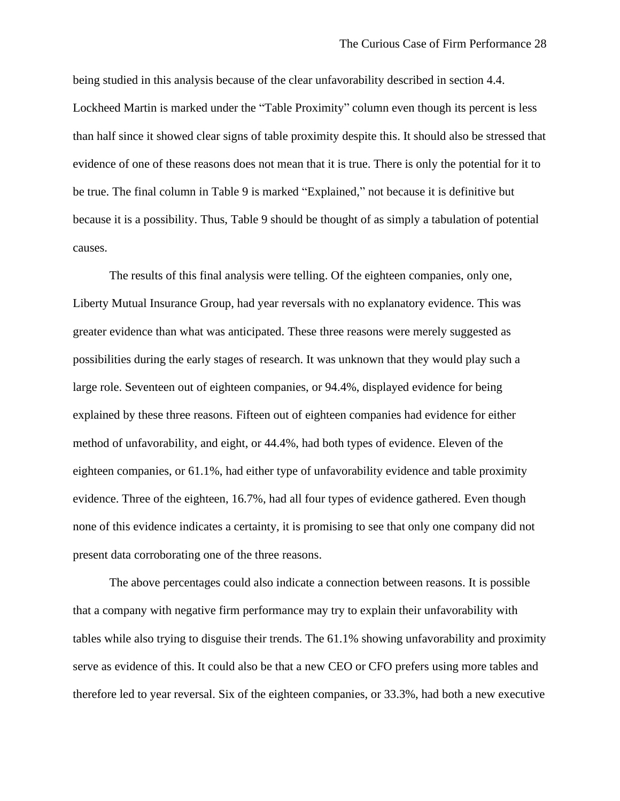being studied in this analysis because of the clear unfavorability described in section 4.4. Lockheed Martin is marked under the "Table Proximity" column even though its percent is less than half since it showed clear signs of table proximity despite this. It should also be stressed that evidence of one of these reasons does not mean that it is true. There is only the potential for it to be true. The final column in Table 9 is marked "Explained," not because it is definitive but because it is a possibility. Thus, Table 9 should be thought of as simply a tabulation of potential causes.

The results of this final analysis were telling. Of the eighteen companies, only one, Liberty Mutual Insurance Group, had year reversals with no explanatory evidence. This was greater evidence than what was anticipated. These three reasons were merely suggested as possibilities during the early stages of research. It was unknown that they would play such a large role. Seventeen out of eighteen companies, or 94.4%, displayed evidence for being explained by these three reasons. Fifteen out of eighteen companies had evidence for either method of unfavorability, and eight, or 44.4%, had both types of evidence. Eleven of the eighteen companies, or 61.1%, had either type of unfavorability evidence and table proximity evidence. Three of the eighteen, 16.7%, had all four types of evidence gathered. Even though none of this evidence indicates a certainty, it is promising to see that only one company did not present data corroborating one of the three reasons.

The above percentages could also indicate a connection between reasons. It is possible that a company with negative firm performance may try to explain their unfavorability with tables while also trying to disguise their trends. The 61.1% showing unfavorability and proximity serve as evidence of this. It could also be that a new CEO or CFO prefers using more tables and therefore led to year reversal. Six of the eighteen companies, or 33.3%, had both a new executive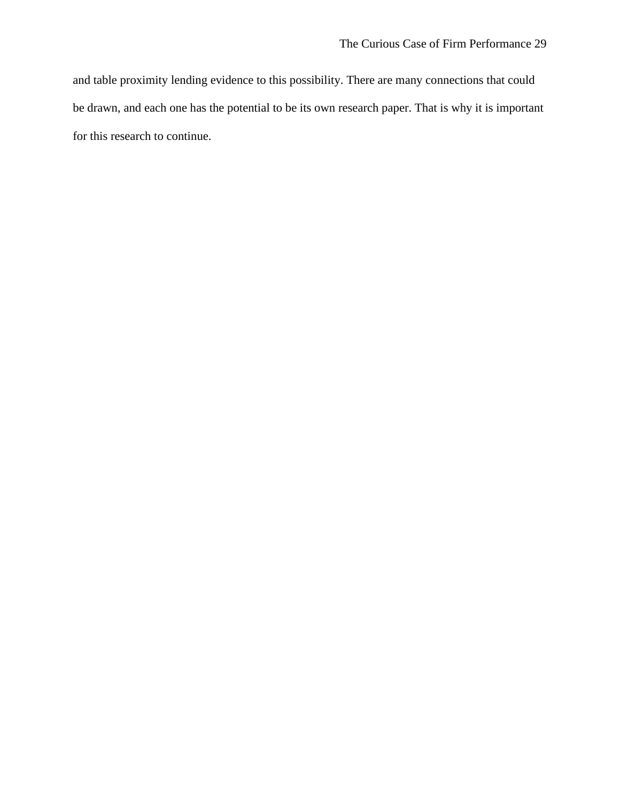and table proximity lending evidence to this possibility. There are many connections that could be drawn, and each one has the potential to be its own research paper. That is why it is important for this research to continue.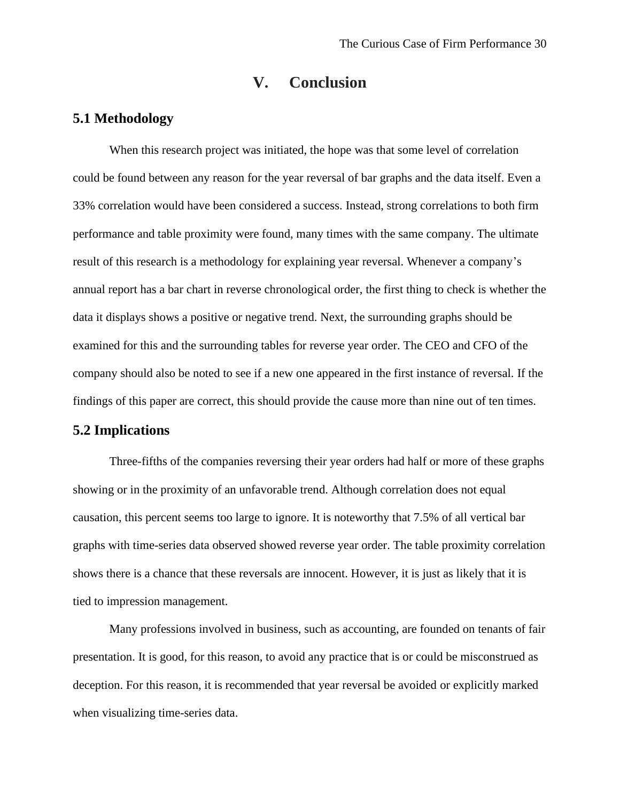## **V. Conclusion**

## <span id="page-31-1"></span><span id="page-31-0"></span>**5.1 Methodology**

When this research project was initiated, the hope was that some level of correlation could be found between any reason for the year reversal of bar graphs and the data itself. Even a 33% correlation would have been considered a success. Instead, strong correlations to both firm performance and table proximity were found, many times with the same company. The ultimate result of this research is a methodology for explaining year reversal. Whenever a company's annual report has a bar chart in reverse chronological order, the first thing to check is whether the data it displays shows a positive or negative trend. Next, the surrounding graphs should be examined for this and the surrounding tables for reverse year order. The CEO and CFO of the company should also be noted to see if a new one appeared in the first instance of reversal. If the findings of this paper are correct, this should provide the cause more than nine out of ten times.

### <span id="page-31-2"></span>**5.2 Implications**

Three-fifths of the companies reversing their year orders had half or more of these graphs showing or in the proximity of an unfavorable trend. Although correlation does not equal causation, this percent seems too large to ignore. It is noteworthy that 7.5% of all vertical bar graphs with time-series data observed showed reverse year order. The table proximity correlation shows there is a chance that these reversals are innocent. However, it is just as likely that it is tied to impression management.

Many professions involved in business, such as accounting, are founded on tenants of fair presentation. It is good, for this reason, to avoid any practice that is or could be misconstrued as deception. For this reason, it is recommended that year reversal be avoided or explicitly marked when visualizing time-series data.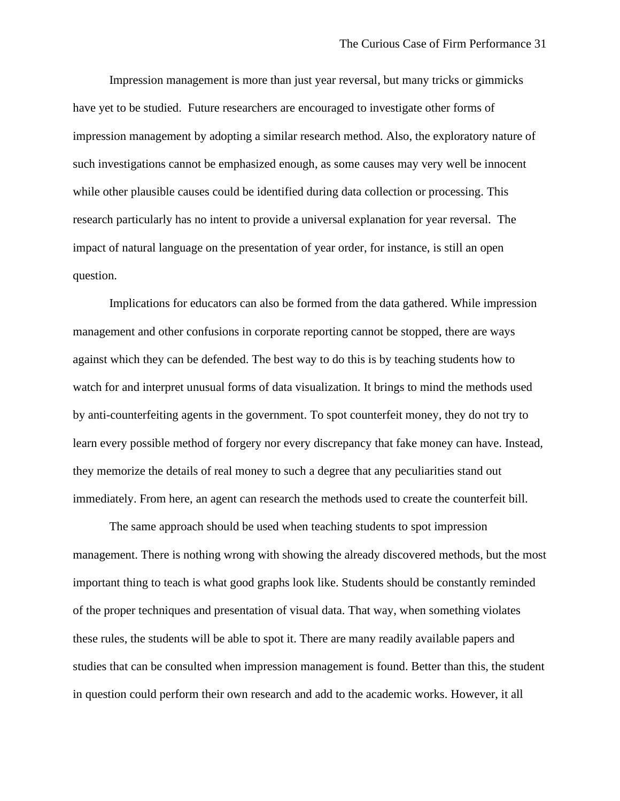Impression management is more than just year reversal, but many tricks or gimmicks have yet to be studied. Future researchers are encouraged to investigate other forms of impression management by adopting a similar research method. Also, the exploratory nature of such investigations cannot be emphasized enough, as some causes may very well be innocent while other plausible causes could be identified during data collection or processing. This research particularly has no intent to provide a universal explanation for year reversal. The impact of natural language on the presentation of year order, for instance, is still an open question.

Implications for educators can also be formed from the data gathered. While impression management and other confusions in corporate reporting cannot be stopped, there are ways against which they can be defended. The best way to do this is by teaching students how to watch for and interpret unusual forms of data visualization. It brings to mind the methods used by anti-counterfeiting agents in the government. To spot counterfeit money, they do not try to learn every possible method of forgery nor every discrepancy that fake money can have. Instead, they memorize the details of real money to such a degree that any peculiarities stand out immediately. From here, an agent can research the methods used to create the counterfeit bill.

The same approach should be used when teaching students to spot impression management. There is nothing wrong with showing the already discovered methods, but the most important thing to teach is what good graphs look like. Students should be constantly reminded of the proper techniques and presentation of visual data. That way, when something violates these rules, the students will be able to spot it. There are many readily available papers and studies that can be consulted when impression management is found. Better than this, the student in question could perform their own research and add to the academic works. However, it all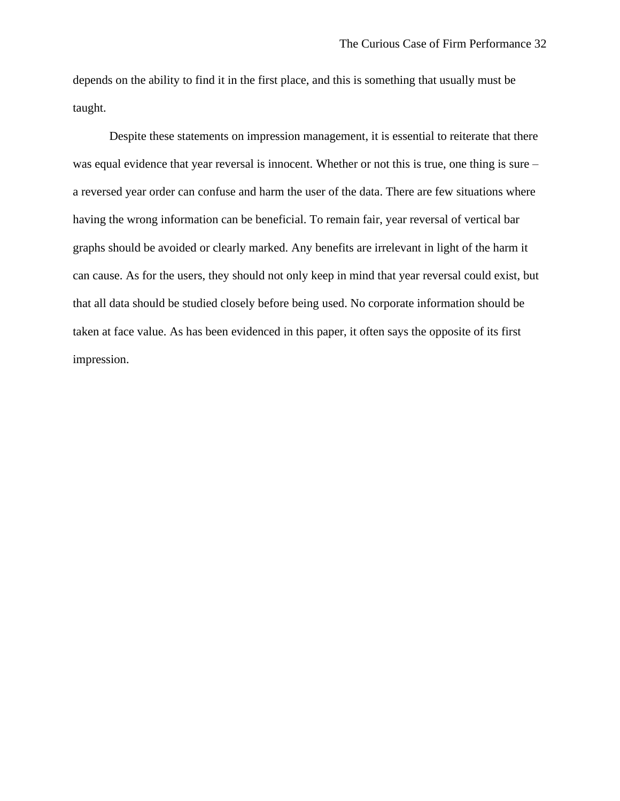depends on the ability to find it in the first place, and this is something that usually must be taught.

Despite these statements on impression management, it is essential to reiterate that there was equal evidence that year reversal is innocent. Whether or not this is true, one thing is sure – a reversed year order can confuse and harm the user of the data. There are few situations where having the wrong information can be beneficial. To remain fair, year reversal of vertical bar graphs should be avoided or clearly marked. Any benefits are irrelevant in light of the harm it can cause. As for the users, they should not only keep in mind that year reversal could exist, but that all data should be studied closely before being used. No corporate information should be taken at face value. As has been evidenced in this paper, it often says the opposite of its first impression.